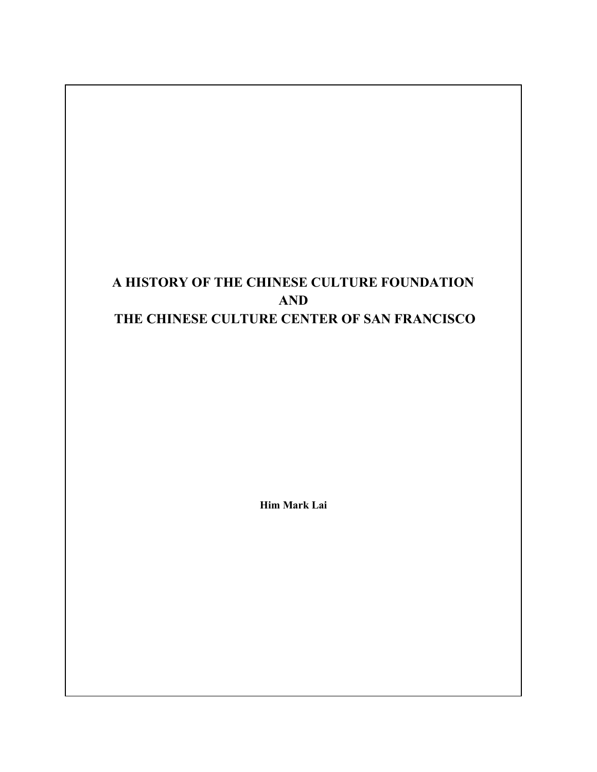# A HISTORY OF THE CHINESE CULTURE FOUNDATION AND THE CHINESE CULTURE CENTER OF SAN FRANCISCO

Him Mark Lai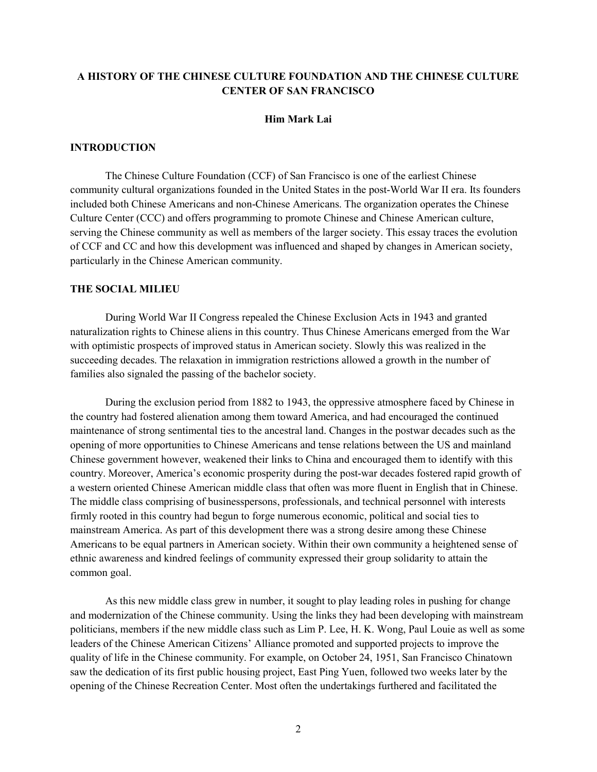# A HISTORY OF THE CHINESE CULTURE FOUNDATION AND THE CHINESE CULTURE CENTER OF SAN FRANCISCO

## Him Mark Lai

## INTRODUCTION

 The Chinese Culture Foundation (CCF) of San Francisco is one of the earliest Chinese community cultural organizations founded in the United States in the post-World War II era. Its founders included both Chinese Americans and non-Chinese Americans. The organization operates the Chinese Culture Center (CCC) and offers programming to promote Chinese and Chinese American culture, serving the Chinese community as well as members of the larger society. This essay traces the evolution of CCF and CC and how this development was influenced and shaped by changes in American society, particularly in the Chinese American community.

## THE SOCIAL MILIEU

 During World War II Congress repealed the Chinese Exclusion Acts in 1943 and granted naturalization rights to Chinese aliens in this country. Thus Chinese Americans emerged from the War with optimistic prospects of improved status in American society. Slowly this was realized in the succeeding decades. The relaxation in immigration restrictions allowed a growth in the number of families also signaled the passing of the bachelor society.

 During the exclusion period from 1882 to 1943, the oppressive atmosphere faced by Chinese in the country had fostered alienation among them toward America, and had encouraged the continued maintenance of strong sentimental ties to the ancestral land. Changes in the postwar decades such as the opening of more opportunities to Chinese Americans and tense relations between the US and mainland Chinese government however, weakened their links to China and encouraged them to identify with this country. Moreover, America's economic prosperity during the post-war decades fostered rapid growth of a western oriented Chinese American middle class that often was more fluent in English that in Chinese. The middle class comprising of businesspersons, professionals, and technical personnel with interests firmly rooted in this country had begun to forge numerous economic, political and social ties to mainstream America. As part of this development there was a strong desire among these Chinese Americans to be equal partners in American society. Within their own community a heightened sense of ethnic awareness and kindred feelings of community expressed their group solidarity to attain the common goal.

 As this new middle class grew in number, it sought to play leading roles in pushing for change and modernization of the Chinese community. Using the links they had been developing with mainstream politicians, members if the new middle class such as Lim P. Lee, H. K. Wong, Paul Louie as well as some leaders of the Chinese American Citizens' Alliance promoted and supported projects to improve the quality of life in the Chinese community. For example, on October 24, 1951, San Francisco Chinatown saw the dedication of its first public housing project, East Ping Yuen, followed two weeks later by the opening of the Chinese Recreation Center. Most often the undertakings furthered and facilitated the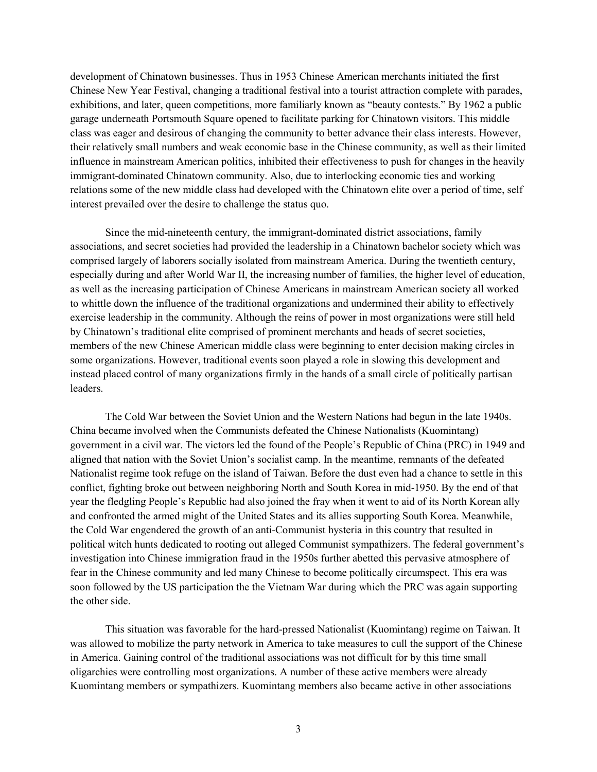development of Chinatown businesses. Thus in 1953 Chinese American merchants initiated the first Chinese New Year Festival, changing a traditional festival into a tourist attraction complete with parades, exhibitions, and later, queen competitions, more familiarly known as "beauty contests." By 1962 a public garage underneath Portsmouth Square opened to facilitate parking for Chinatown visitors. This middle class was eager and desirous of changing the community to better advance their class interests. However, their relatively small numbers and weak economic base in the Chinese community, as well as their limited influence in mainstream American politics, inhibited their effectiveness to push for changes in the heavily immigrant-dominated Chinatown community. Also, due to interlocking economic ties and working relations some of the new middle class had developed with the Chinatown elite over a period of time, self interest prevailed over the desire to challenge the status quo.

 Since the mid-nineteenth century, the immigrant-dominated district associations, family associations, and secret societies had provided the leadership in a Chinatown bachelor society which was comprised largely of laborers socially isolated from mainstream America. During the twentieth century, especially during and after World War II, the increasing number of families, the higher level of education, as well as the increasing participation of Chinese Americans in mainstream American society all worked to whittle down the influence of the traditional organizations and undermined their ability to effectively exercise leadership in the community. Although the reins of power in most organizations were still held by Chinatown's traditional elite comprised of prominent merchants and heads of secret societies, members of the new Chinese American middle class were beginning to enter decision making circles in some organizations. However, traditional events soon played a role in slowing this development and instead placed control of many organizations firmly in the hands of a small circle of politically partisan leaders.

 The Cold War between the Soviet Union and the Western Nations had begun in the late 1940s. China became involved when the Communists defeated the Chinese Nationalists (Kuomintang) government in a civil war. The victors led the found of the People's Republic of China (PRC) in 1949 and aligned that nation with the Soviet Union's socialist camp. In the meantime, remnants of the defeated Nationalist regime took refuge on the island of Taiwan. Before the dust even had a chance to settle in this conflict, fighting broke out between neighboring North and South Korea in mid-1950. By the end of that year the fledgling People's Republic had also joined the fray when it went to aid of its North Korean ally and confronted the armed might of the United States and its allies supporting South Korea. Meanwhile, the Cold War engendered the growth of an anti-Communist hysteria in this country that resulted in political witch hunts dedicated to rooting out alleged Communist sympathizers. The federal government's investigation into Chinese immigration fraud in the 1950s further abetted this pervasive atmosphere of fear in the Chinese community and led many Chinese to become politically circumspect. This era was soon followed by the US participation the the Vietnam War during which the PRC was again supporting the other side.

 This situation was favorable for the hard-pressed Nationalist (Kuomintang) regime on Taiwan. It was allowed to mobilize the party network in America to take measures to cull the support of the Chinese in America. Gaining control of the traditional associations was not difficult for by this time small oligarchies were controlling most organizations. A number of these active members were already Kuomintang members or sympathizers. Kuomintang members also became active in other associations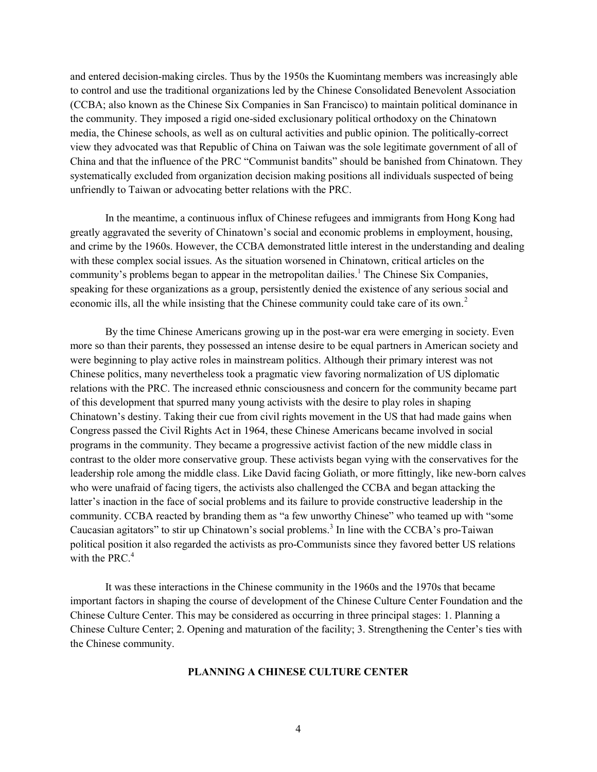and entered decision-making circles. Thus by the 1950s the Kuomintang members was increasingly able to control and use the traditional organizations led by the Chinese Consolidated Benevolent Association (CCBA; also known as the Chinese Six Companies in San Francisco) to maintain political dominance in the community. They imposed a rigid one-sided exclusionary political orthodoxy on the Chinatown media, the Chinese schools, as well as on cultural activities and public opinion. The politically-correct view they advocated was that Republic of China on Taiwan was the sole legitimate government of all of China and that the influence of the PRC "Communist bandits" should be banished from Chinatown. They systematically excluded from organization decision making positions all individuals suspected of being unfriendly to Taiwan or advocating better relations with the PRC.

 In the meantime, a continuous influx of Chinese refugees and immigrants from Hong Kong had greatly aggravated the severity of Chinatown's social and economic problems in employment, housing, and crime by the 1960s. However, the CCBA demonstrated little interest in the understanding and dealing with these complex social issues. As the situation worsened in Chinatown, critical articles on the community's problems began to appear in the metropolitan dailies.<sup>1</sup> The Chinese Six Companies, speaking for these organizations as a group, persistently denied the existence of any serious social and economic ills, all the while insisting that the Chinese community could take care of its own.<sup>2</sup>

 By the time Chinese Americans growing up in the post-war era were emerging in society. Even more so than their parents, they possessed an intense desire to be equal partners in American society and were beginning to play active roles in mainstream politics. Although their primary interest was not Chinese politics, many nevertheless took a pragmatic view favoring normalization of US diplomatic relations with the PRC. The increased ethnic consciousness and concern for the community became part of this development that spurred many young activists with the desire to play roles in shaping Chinatown's destiny. Taking their cue from civil rights movement in the US that had made gains when Congress passed the Civil Rights Act in 1964, these Chinese Americans became involved in social programs in the community. They became a progressive activist faction of the new middle class in contrast to the older more conservative group. These activists began vying with the conservatives for the leadership role among the middle class. Like David facing Goliath, or more fittingly, like new-born calves who were unafraid of facing tigers, the activists also challenged the CCBA and began attacking the latter's inaction in the face of social problems and its failure to provide constructive leadership in the community. CCBA reacted by branding them as "a few unworthy Chinese" who teamed up with "some Caucasian agitators" to stir up Chinatown's social problems.<sup>3</sup> In line with the CCBA's pro-Taiwan political position it also regarded the activists as pro-Communists since they favored better US relations with the PRC. $4$ 

 It was these interactions in the Chinese community in the 1960s and the 1970s that became important factors in shaping the course of development of the Chinese Culture Center Foundation and the Chinese Culture Center. This may be considered as occurring in three principal stages: 1. Planning a Chinese Culture Center; 2. Opening and maturation of the facility; 3. Strengthening the Center's ties with the Chinese community.

## PLANNING A CHINESE CULTURE CENTER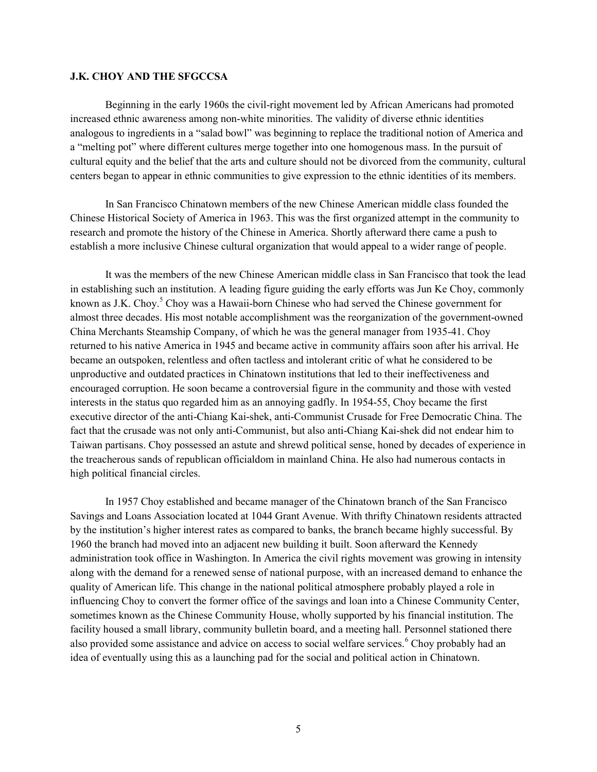#### J.K. CHOY AND THE SFGCCSA

 Beginning in the early 1960s the civil-right movement led by African Americans had promoted increased ethnic awareness among non-white minorities. The validity of diverse ethnic identities analogous to ingredients in a "salad bowl" was beginning to replace the traditional notion of America and a "melting pot" where different cultures merge together into one homogenous mass. In the pursuit of cultural equity and the belief that the arts and culture should not be divorced from the community, cultural centers began to appear in ethnic communities to give expression to the ethnic identities of its members.

In San Francisco Chinatown members of the new Chinese American middle class founded the Chinese Historical Society of America in 1963. This was the first organized attempt in the community to research and promote the history of the Chinese in America. Shortly afterward there came a push to establish a more inclusive Chinese cultural organization that would appeal to a wider range of people.

It was the members of the new Chinese American middle class in San Francisco that took the lead in establishing such an institution. A leading figure guiding the early efforts was Jun Ke Choy, commonly known as J.K. Choy.<sup>5</sup> Choy was a Hawaii-born Chinese who had served the Chinese government for almost three decades. His most notable accomplishment was the reorganization of the government-owned China Merchants Steamship Company, of which he was the general manager from 1935-41. Choy returned to his native America in 1945 and became active in community affairs soon after his arrival. He became an outspoken, relentless and often tactless and intolerant critic of what he considered to be unproductive and outdated practices in Chinatown institutions that led to their ineffectiveness and encouraged corruption. He soon became a controversial figure in the community and those with vested interests in the status quo regarded him as an annoying gadfly. In 1954-55, Choy became the first executive director of the anti-Chiang Kai-shek, anti-Communist Crusade for Free Democratic China. The fact that the crusade was not only anti-Communist, but also anti-Chiang Kai-shek did not endear him to Taiwan partisans. Choy possessed an astute and shrewd political sense, honed by decades of experience in the treacherous sands of republican officialdom in mainland China. He also had numerous contacts in high political financial circles.

In 1957 Choy established and became manager of the Chinatown branch of the San Francisco Savings and Loans Association located at 1044 Grant Avenue. With thrifty Chinatown residents attracted by the institution's higher interest rates as compared to banks, the branch became highly successful. By 1960 the branch had moved into an adjacent new building it built. Soon afterward the Kennedy administration took office in Washington. In America the civil rights movement was growing in intensity along with the demand for a renewed sense of national purpose, with an increased demand to enhance the quality of American life. This change in the national political atmosphere probably played a role in influencing Choy to convert the former office of the savings and loan into a Chinese Community Center, sometimes known as the Chinese Community House, wholly supported by his financial institution. The facility housed a small library, community bulletin board, and a meeting hall. Personnel stationed there also provided some assistance and advice on access to social welfare services. <sup>6</sup> Choy probably had an idea of eventually using this as a launching pad for the social and political action in Chinatown.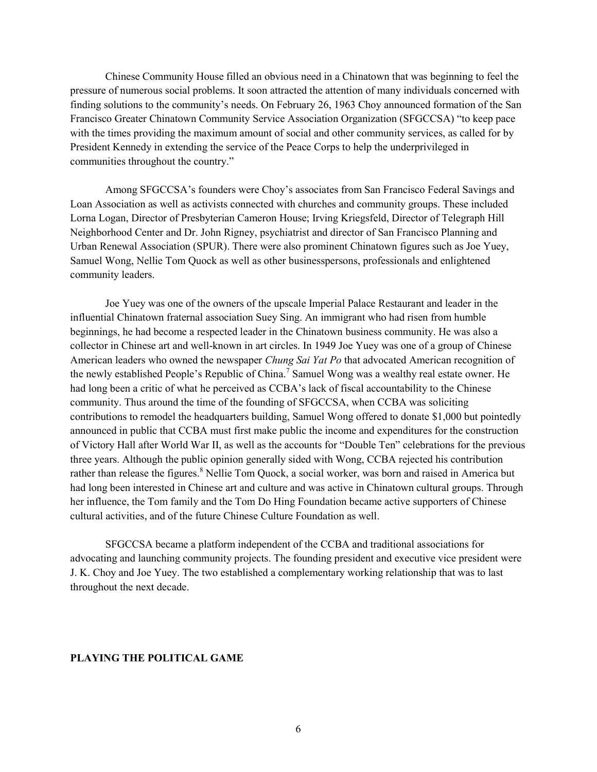Chinese Community House filled an obvious need in a Chinatown that was beginning to feel the pressure of numerous social problems. It soon attracted the attention of many individuals concerned with finding solutions to the community's needs. On February 26, 1963 Choy announced formation of the San Francisco Greater Chinatown Community Service Association Organization (SFGCCSA) "to keep pace with the times providing the maximum amount of social and other community services, as called for by President Kennedy in extending the service of the Peace Corps to help the underprivileged in communities throughout the country."

Among SFGCCSA's founders were Choy's associates from San Francisco Federal Savings and Loan Association as well as activists connected with churches and community groups. These included Lorna Logan, Director of Presbyterian Cameron House; Irving Kriegsfeld, Director of Telegraph Hill Neighborhood Center and Dr. John Rigney, psychiatrist and director of San Francisco Planning and Urban Renewal Association (SPUR). There were also prominent Chinatown figures such as Joe Yuey, Samuel Wong, Nellie Tom Quock as well as other businesspersons, professionals and enlightened community leaders.

Joe Yuey was one of the owners of the upscale Imperial Palace Restaurant and leader in the influential Chinatown fraternal association Suey Sing. An immigrant who had risen from humble beginnings, he had become a respected leader in the Chinatown business community. He was also a collector in Chinese art and well-known in art circles. In 1949 Joe Yuey was one of a group of Chinese American leaders who owned the newspaper *Chung Sai Yat Po* that advocated American recognition of the newly established People's Republic of China.<sup>7</sup> Samuel Wong was a wealthy real estate owner. He had long been a critic of what he perceived as CCBA's lack of fiscal accountability to the Chinese community. Thus around the time of the founding of SFGCCSA, when CCBA was soliciting contributions to remodel the headquarters building, Samuel Wong offered to donate \$1,000 but pointedly announced in public that CCBA must first make public the income and expenditures for the construction of Victory Hall after World War II, as well as the accounts for "Double Ten" celebrations for the previous three years. Although the public opinion generally sided with Wong, CCBA rejected his contribution rather than release the figures. <sup>8</sup> Nellie Tom Quock, a social worker, was born and raised in America but had long been interested in Chinese art and culture and was active in Chinatown cultural groups. Through her influence, the Tom family and the Tom Do Hing Foundation became active supporters of Chinese cultural activities, and of the future Chinese Culture Foundation as well.

SFGCCSA became a platform independent of the CCBA and traditional associations for advocating and launching community projects. The founding president and executive vice president were J. K. Choy and Joe Yuey. The two established a complementary working relationship that was to last throughout the next decade.

#### PLAYING THE POLITICAL GAME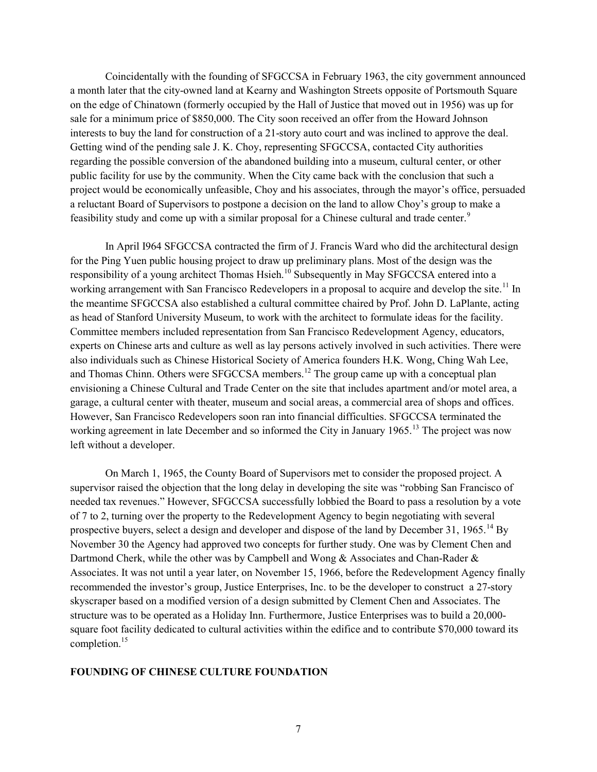Coincidentally with the founding of SFGCCSA in February 1963, the city government announced a month later that the city-owned land at Kearny and Washington Streets opposite of Portsmouth Square on the edge of Chinatown (formerly occupied by the Hall of Justice that moved out in 1956) was up for sale for a minimum price of \$850,000. The City soon received an offer from the Howard Johnson interests to buy the land for construction of a 21-story auto court and was inclined to approve the deal. Getting wind of the pending sale J. K. Choy, representing SFGCCSA, contacted City authorities regarding the possible conversion of the abandoned building into a museum, cultural center, or other public facility for use by the community. When the City came back with the conclusion that such a project would be economically unfeasible, Choy and his associates, through the mayor's office, persuaded a reluctant Board of Supervisors to postpone a decision on the land to allow Choy's group to make a feasibility study and come up with a similar proposal for a Chinese cultural and trade center.<sup>9</sup>

 In April I964 SFGCCSA contracted the firm of J. Francis Ward who did the architectural design for the Ping Yuen public housing project to draw up preliminary plans. Most of the design was the responsibility of a young architect Thomas Hsieh.<sup>10</sup> Subsequently in May SFGCCSA entered into a working arrangement with San Francisco Redevelopers in a proposal to acquire and develop the site.<sup>11</sup> In the meantime SFGCCSA also established a cultural committee chaired by Prof. John D. LaPlante, acting as head of Stanford University Museum, to work with the architect to formulate ideas for the facility. Committee members included representation from San Francisco Redevelopment Agency, educators, experts on Chinese arts and culture as well as lay persons actively involved in such activities. There were also individuals such as Chinese Historical Society of America founders H.K. Wong, Ching Wah Lee, and Thomas Chinn. Others were SFGCCSA members.<sup>12</sup> The group came up with a conceptual plan envisioning a Chinese Cultural and Trade Center on the site that includes apartment and/or motel area, a garage, a cultural center with theater, museum and social areas, a commercial area of shops and offices. However, San Francisco Redevelopers soon ran into financial difficulties. SFGCCSA terminated the working agreement in late December and so informed the City in January 1965.<sup>13</sup> The project was now left without a developer.

 On March 1, 1965, the County Board of Supervisors met to consider the proposed project. A supervisor raised the objection that the long delay in developing the site was "robbing San Francisco of needed tax revenues." However, SFGCCSA successfully lobbied the Board to pass a resolution by a vote of 7 to 2, turning over the property to the Redevelopment Agency to begin negotiating with several prospective buyers, select a design and developer and dispose of the land by December 31, 1965.<sup>14</sup> By November 30 the Agency had approved two concepts for further study. One was by Clement Chen and Dartmond Cherk, while the other was by Campbell and Wong & Associates and Chan-Rader & Associates. It was not until a year later, on November 15, 1966, before the Redevelopment Agency finally recommended the investor's group, Justice Enterprises, Inc. to be the developer to construct a 27-story skyscraper based on a modified version of a design submitted by Clement Chen and Associates. The structure was to be operated as a Holiday Inn. Furthermore, Justice Enterprises was to build a 20,000 square foot facility dedicated to cultural activities within the edifice and to contribute \$70,000 toward its completion.<sup>15</sup>

# FOUNDING OF CHINESE CULTURE FOUNDATION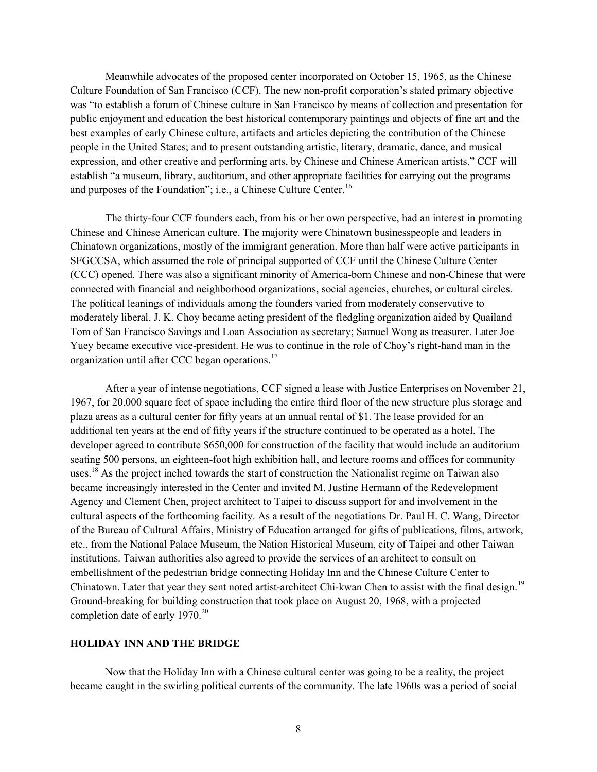Meanwhile advocates of the proposed center incorporated on October 15, 1965, as the Chinese Culture Foundation of San Francisco (CCF). The new non-profit corporation's stated primary objective was "to establish a forum of Chinese culture in San Francisco by means of collection and presentation for public enjoyment and education the best historical contemporary paintings and objects of fine art and the best examples of early Chinese culture, artifacts and articles depicting the contribution of the Chinese people in the United States; and to present outstanding artistic, literary, dramatic, dance, and musical expression, and other creative and performing arts, by Chinese and Chinese American artists." CCF will establish "a museum, library, auditorium, and other appropriate facilities for carrying out the programs and purposes of the Foundation"; i.e., a Chinese Culture Center.<sup>16</sup>

 The thirty-four CCF founders each, from his or her own perspective, had an interest in promoting Chinese and Chinese American culture. The majority were Chinatown businesspeople and leaders in Chinatown organizations, mostly of the immigrant generation. More than half were active participants in SFGCCSA, which assumed the role of principal supported of CCF until the Chinese Culture Center (CCC) opened. There was also a significant minority of America-born Chinese and non-Chinese that were connected with financial and neighborhood organizations, social agencies, churches, or cultural circles. The political leanings of individuals among the founders varied from moderately conservative to moderately liberal. J. K. Choy became acting president of the fledgling organization aided by Quailand Tom of San Francisco Savings and Loan Association as secretary; Samuel Wong as treasurer. Later Joe Yuey became executive vice-president. He was to continue in the role of Choy's right-hand man in the organization until after CCC began operations.<sup>17</sup>

 After a year of intense negotiations, CCF signed a lease with Justice Enterprises on November 21, 1967, for 20,000 square feet of space including the entire third floor of the new structure plus storage and plaza areas as a cultural center for fifty years at an annual rental of \$1. The lease provided for an additional ten years at the end of fifty years if the structure continued to be operated as a hotel. The developer agreed to contribute \$650,000 for construction of the facility that would include an auditorium seating 500 persons, an eighteen-foot high exhibition hall, and lecture rooms and offices for community uses.<sup>18</sup> As the project inched towards the start of construction the Nationalist regime on Taiwan also became increasingly interested in the Center and invited M. Justine Hermann of the Redevelopment Agency and Clement Chen, project architect to Taipei to discuss support for and involvement in the cultural aspects of the forthcoming facility. As a result of the negotiations Dr. Paul H. C. Wang, Director of the Bureau of Cultural Affairs, Ministry of Education arranged for gifts of publications, films, artwork, etc., from the National Palace Museum, the Nation Historical Museum, city of Taipei and other Taiwan institutions. Taiwan authorities also agreed to provide the services of an architect to consult on embellishment of the pedestrian bridge connecting Holiday Inn and the Chinese Culture Center to Chinatown. Later that year they sent noted artist-architect Chi-kwan Chen to assist with the final design.<sup>19</sup> Ground-breaking for building construction that took place on August 20, 1968, with a projected completion date of early  $1970.<sup>20</sup>$ 

# HOLIDAY INN AND THE BRIDGE

Now that the Holiday Inn with a Chinese cultural center was going to be a reality, the project became caught in the swirling political currents of the community. The late 1960s was a period of social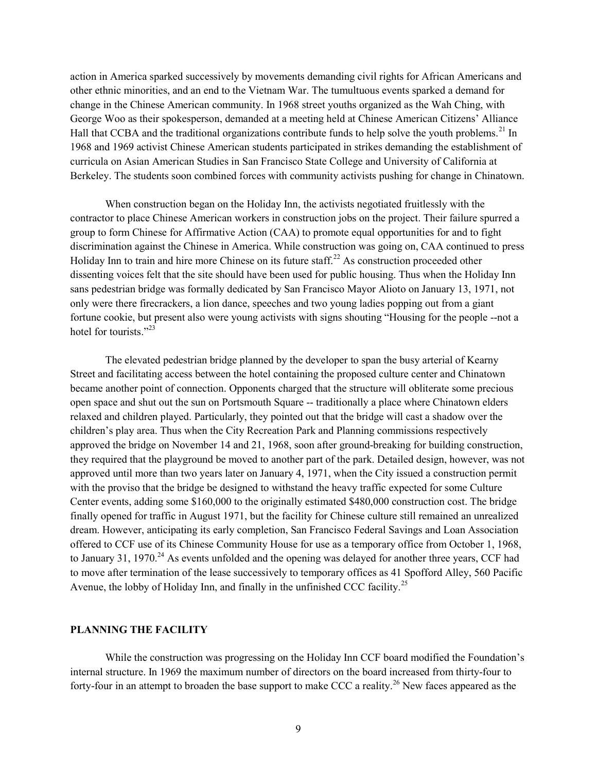action in America sparked successively by movements demanding civil rights for African Americans and other ethnic minorities, and an end to the Vietnam War. The tumultuous events sparked a demand for change in the Chinese American community. In 1968 street youths organized as the Wah Ching, with George Woo as their spokesperson, demanded at a meeting held at Chinese American Citizens' Alliance Hall that CCBA and the traditional organizations contribute funds to help solve the youth problems.<sup>21</sup> In 1968 and 1969 activist Chinese American students participated in strikes demanding the establishment of curricula on Asian American Studies in San Francisco State College and University of California at Berkeley. The students soon combined forces with community activists pushing for change in Chinatown.

 When construction began on the Holiday Inn, the activists negotiated fruitlessly with the contractor to place Chinese American workers in construction jobs on the project. Their failure spurred a group to form Chinese for Affirmative Action (CAA) to promote equal opportunities for and to fight discrimination against the Chinese in America. While construction was going on, CAA continued to press Holiday Inn to train and hire more Chinese on its future staff.<sup>22</sup> As construction proceeded other dissenting voices felt that the site should have been used for public housing. Thus when the Holiday Inn sans pedestrian bridge was formally dedicated by San Francisco Mayor Alioto on January 13, 1971, not only were there firecrackers, a lion dance, speeches and two young ladies popping out from a giant fortune cookie, but present also were young activists with signs shouting "Housing for the people --not a hotel for tourists." $^{23}$ 

 The elevated pedestrian bridge planned by the developer to span the busy arterial of Kearny Street and facilitating access between the hotel containing the proposed culture center and Chinatown became another point of connection. Opponents charged that the structure will obliterate some precious open space and shut out the sun on Portsmouth Square -- traditionally a place where Chinatown elders relaxed and children played. Particularly, they pointed out that the bridge will cast a shadow over the children's play area. Thus when the City Recreation Park and Planning commissions respectively approved the bridge on November 14 and 21, 1968, soon after ground-breaking for building construction, they required that the playground be moved to another part of the park. Detailed design, however, was not approved until more than two years later on January 4, 1971, when the City issued a construction permit with the proviso that the bridge be designed to withstand the heavy traffic expected for some Culture Center events, adding some \$160,000 to the originally estimated \$480,000 construction cost. The bridge finally opened for traffic in August 1971, but the facility for Chinese culture still remained an unrealized dream. However, anticipating its early completion, San Francisco Federal Savings and Loan Association offered to CCF use of its Chinese Community House for use as a temporary office from October 1, 1968, to January 31, 1970.<sup>24</sup> As events unfolded and the opening was delayed for another three years, CCF had to move after termination of the lease successively to temporary offices as 41 Spofford Alley, 560 Pacific Avenue, the lobby of Holiday Inn, and finally in the unfinished CCC facility.<sup>25</sup>

# PLANNING THE FACILITY

While the construction was progressing on the Holiday Inn CCF board modified the Foundation's internal structure. In 1969 the maximum number of directors on the board increased from thirty-four to forty-four in an attempt to broaden the base support to make CCC a reality.<sup>26</sup> New faces appeared as the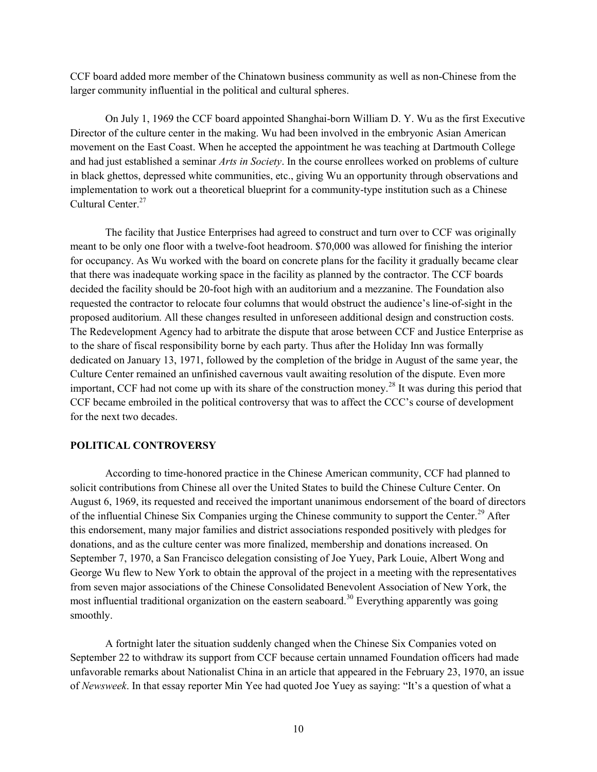CCF board added more member of the Chinatown business community as well as non-Chinese from the larger community influential in the political and cultural spheres.

On July 1, 1969 the CCF board appointed Shanghai-born William D. Y. Wu as the first Executive Director of the culture center in the making. Wu had been involved in the embryonic Asian American movement on the East Coast. When he accepted the appointment he was teaching at Dartmouth College and had just established a seminar Arts in Society. In the course enrollees worked on problems of culture in black ghettos, depressed white communities, etc., giving Wu an opportunity through observations and implementation to work out a theoretical blueprint for a community-type institution such as a Chinese Cultural Center.<sup>27</sup>

The facility that Justice Enterprises had agreed to construct and turn over to CCF was originally meant to be only one floor with a twelve-foot headroom. \$70,000 was allowed for finishing the interior for occupancy. As Wu worked with the board on concrete plans for the facility it gradually became clear that there was inadequate working space in the facility as planned by the contractor. The CCF boards decided the facility should be 20-foot high with an auditorium and a mezzanine. The Foundation also requested the contractor to relocate four columns that would obstruct the audience's line-of-sight in the proposed auditorium. All these changes resulted in unforeseen additional design and construction costs. The Redevelopment Agency had to arbitrate the dispute that arose between CCF and Justice Enterprise as to the share of fiscal responsibility borne by each party. Thus after the Holiday Inn was formally dedicated on January 13, 1971, followed by the completion of the bridge in August of the same year, the Culture Center remained an unfinished cavernous vault awaiting resolution of the dispute. Even more important, CCF had not come up with its share of the construction money.<sup>28</sup> It was during this period that CCF became embroiled in the political controversy that was to affect the CCC's course of development for the next two decades.

# POLITICAL CONTROVERSY

According to time-honored practice in the Chinese American community, CCF had planned to solicit contributions from Chinese all over the United States to build the Chinese Culture Center. On August 6, 1969, its requested and received the important unanimous endorsement of the board of directors of the influential Chinese Six Companies urging the Chinese community to support the Center.<sup>29</sup> After this endorsement, many major families and district associations responded positively with pledges for donations, and as the culture center was more finalized, membership and donations increased. On September 7, 1970, a San Francisco delegation consisting of Joe Yuey, Park Louie, Albert Wong and George Wu flew to New York to obtain the approval of the project in a meeting with the representatives from seven major associations of the Chinese Consolidated Benevolent Association of New York, the most influential traditional organization on the eastern seaboard.<sup>30</sup> Everything apparently was going smoothly.

A fortnight later the situation suddenly changed when the Chinese Six Companies voted on September 22 to withdraw its support from CCF because certain unnamed Foundation officers had made unfavorable remarks about Nationalist China in an article that appeared in the February 23, 1970, an issue of Newsweek. In that essay reporter Min Yee had quoted Joe Yuey as saying: "It's a question of what a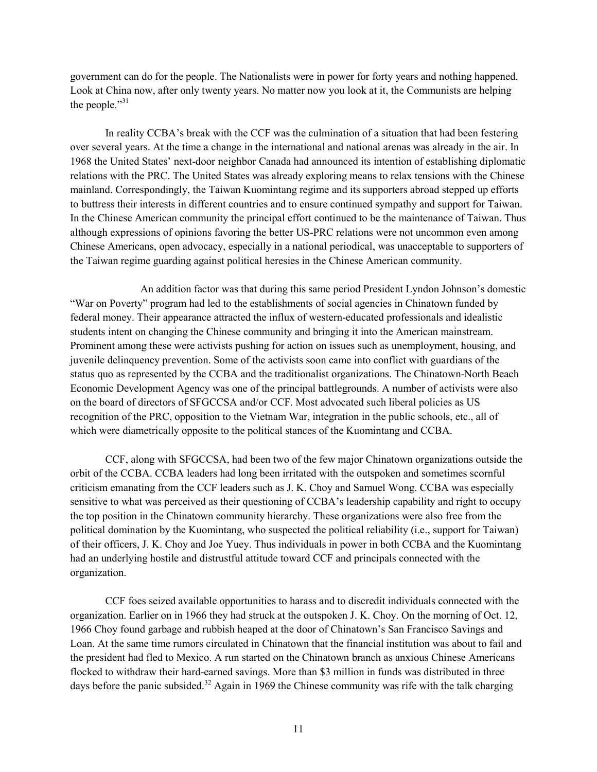government can do for the people. The Nationalists were in power for forty years and nothing happened. Look at China now, after only twenty years. No matter now you look at it, the Communists are helping the people."31

In reality CCBA's break with the CCF was the culmination of a situation that had been festering over several years. At the time a change in the international and national arenas was already in the air. In 1968 the United States' next-door neighbor Canada had announced its intention of establishing diplomatic relations with the PRC. The United States was already exploring means to relax tensions with the Chinese mainland. Correspondingly, the Taiwan Kuomintang regime and its supporters abroad stepped up efforts to buttress their interests in different countries and to ensure continued sympathy and support for Taiwan. In the Chinese American community the principal effort continued to be the maintenance of Taiwan. Thus although expressions of opinions favoring the better US-PRC relations were not uncommon even among Chinese Americans, open advocacy, especially in a national periodical, was unacceptable to supporters of the Taiwan regime guarding against political heresies in the Chinese American community.

 An addition factor was that during this same period President Lyndon Johnson's domestic "War on Poverty" program had led to the establishments of social agencies in Chinatown funded by federal money. Their appearance attracted the influx of western-educated professionals and idealistic students intent on changing the Chinese community and bringing it into the American mainstream. Prominent among these were activists pushing for action on issues such as unemployment, housing, and juvenile delinquency prevention. Some of the activists soon came into conflict with guardians of the status quo as represented by the CCBA and the traditionalist organizations. The Chinatown-North Beach Economic Development Agency was one of the principal battlegrounds. A number of activists were also on the board of directors of SFGCCSA and/or CCF. Most advocated such liberal policies as US recognition of the PRC, opposition to the Vietnam War, integration in the public schools, etc., all of which were diametrically opposite to the political stances of the Kuomintang and CCBA.

CCF, along with SFGCCSA, had been two of the few major Chinatown organizations outside the orbit of the CCBA. CCBA leaders had long been irritated with the outspoken and sometimes scornful criticism emanating from the CCF leaders such as J. K. Choy and Samuel Wong. CCBA was especially sensitive to what was perceived as their questioning of CCBA's leadership capability and right to occupy the top position in the Chinatown community hierarchy. These organizations were also free from the political domination by the Kuomintang, who suspected the political reliability (i.e., support for Taiwan) of their officers, J. K. Choy and Joe Yuey. Thus individuals in power in both CCBA and the Kuomintang had an underlying hostile and distrustful attitude toward CCF and principals connected with the organization.

CCF foes seized available opportunities to harass and to discredit individuals connected with the organization. Earlier on in 1966 they had struck at the outspoken J. K. Choy. On the morning of Oct. 12, 1966 Choy found garbage and rubbish heaped at the door of Chinatown's San Francisco Savings and Loan. At the same time rumors circulated in Chinatown that the financial institution was about to fail and the president had fled to Mexico. A run started on the Chinatown branch as anxious Chinese Americans flocked to withdraw their hard-earned savings. More than \$3 million in funds was distributed in three days before the panic subsided.<sup>32</sup> Again in 1969 the Chinese community was rife with the talk charging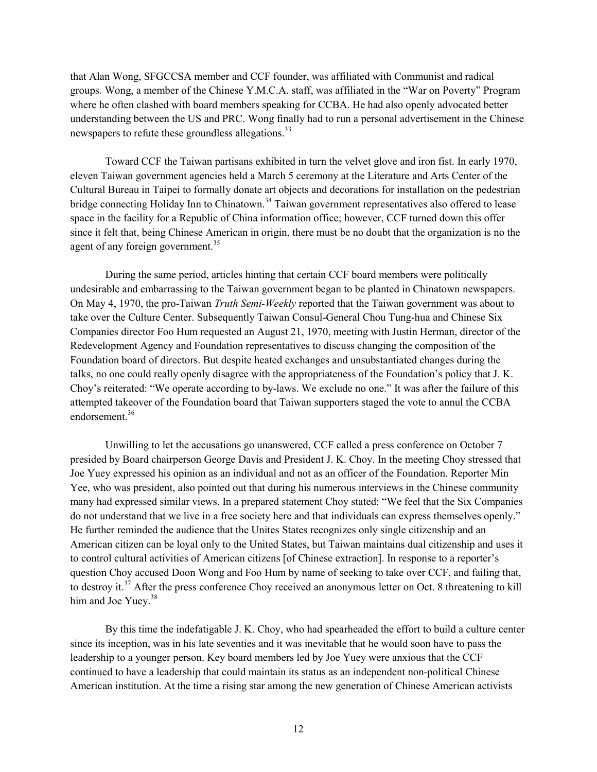that Alan Wong, SFGCCSA member and CCF founder, was affiliated with Communist and radical groups. Wong, a member of the Chinese Y.M.C.A. staff, was affiliated in the "War on Poverty" Program where he often clashed with board members speaking for CCBA. He had also openly advocated better understanding between the US and PRC. Wong finally had to run a personal advertisement in the Chinese newspapers to refute these groundless allegations.<sup>33</sup>

Toward CCF the Taiwan partisans exhibited in turn the velvet glove and iron fist. In early 1970, eleven Taiwan government agencies held a March 5 ceremony at the Literature and Arts Center of the Cultural Bureau in Taipei to formally donate art objects and decorations for installation on the pedestrian bridge connecting Holiday Inn to Chinatown.<sup>34</sup> Taiwan government representatives also offered to lease space in the facility for a Republic of China information office; however, CCF turned down this offer since it felt that, being Chinese American in origin, there must be no doubt that the organization is no the agent of any foreign government.<sup>35</sup>

During the same period, articles hinting that certain CCF board members were politically undesirable and embarrassing to the Taiwan government began to be planted in Chinatown newspapers. On May 4, 1970, the pro-Taiwan Truth Semi-Weekly reported that the Taiwan government was about to take over the Culture Center. Subsequently Taiwan Consul-General Chou Tung-hua and Chinese Six Companies director Foo Hum requested an August 21, 1970, meeting with Justin Herman, director of the Redevelopment Agency and Foundation representatives to discuss changing the composition of the Foundation board of directors. But despite heated exchanges and unsubstantiated changes during the talks, no one could really openly disagree with the appropriateness of the Foundation's policy that J. K. Choy's reiterated: "We operate according to by-laws. We exclude no one." It was after the failure of this attempted takeover of the Foundation board that Taiwan supporters staged the vote to annul the CCBA endorsement.<sup>36</sup>

Unwilling to let the accusations go unanswered, CCF called a press conference on October 7 presided by Board chairperson George Davis and President J. K. Choy. In the meeting Choy stressed that Joe Yuey expressed his opinion as an individual and not as an officer of the Foundation. Reporter Min Yee, who was president, also pointed out that during his numerous interviews in the Chinese community many had expressed similar views. In a prepared statement Choy stated: "We feel that the Six Companies do not understand that we live in a free society here and that individuals can express themselves openly." He further reminded the audience that the Unites States recognizes only single citizenship and an American citizen can be loyal only to the United States, but Taiwan maintains dual citizenship and uses it to control cultural activities of American citizens [of Chinese extraction]. In response to a reporter's question Choy accused Doon Wong and Foo Hum by name of seeking to take over CCF, and failing that, to destroy it.<sup>37</sup> After the press conference Choy received an anonymous letter on Oct. 8 threatening to kill him and Joe Yuey.<sup>38</sup>

By this time the indefatigable J. K. Choy, who had spearheaded the effort to build a culture center since its inception, was in his late seventies and it was inevitable that he would soon have to pass the leadership to a younger person. Key board members led by Joe Yuey were anxious that the CCF continued to have a leadership that could maintain its status as an independent non-political Chinese American institution. At the time a rising star among the new generation of Chinese American activists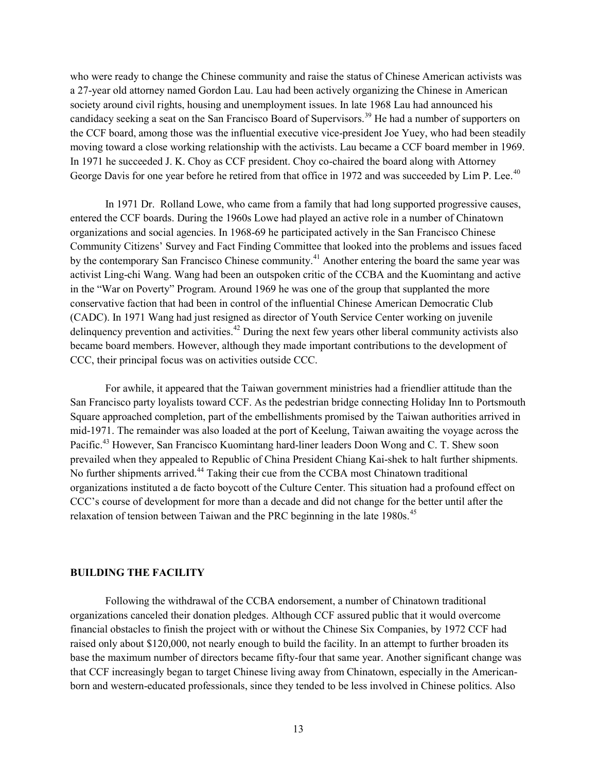who were ready to change the Chinese community and raise the status of Chinese American activists was a 27-year old attorney named Gordon Lau. Lau had been actively organizing the Chinese in American society around civil rights, housing and unemployment issues. In late 1968 Lau had announced his candidacy seeking a seat on the San Francisco Board of Supervisors.<sup>39</sup> He had a number of supporters on the CCF board, among those was the influential executive vice-president Joe Yuey, who had been steadily moving toward a close working relationship with the activists. Lau became a CCF board member in 1969. In 1971 he succeeded J. K. Choy as CCF president. Choy co-chaired the board along with Attorney George Davis for one year before he retired from that office in 1972 and was succeeded by Lim P. Lee.<sup>40</sup>

In 1971 Dr. Rolland Lowe, who came from a family that had long supported progressive causes, entered the CCF boards. During the 1960s Lowe had played an active role in a number of Chinatown organizations and social agencies. In 1968-69 he participated actively in the San Francisco Chinese Community Citizens' Survey and Fact Finding Committee that looked into the problems and issues faced by the contemporary San Francisco Chinese community.<sup>41</sup> Another entering the board the same year was activist Ling-chi Wang. Wang had been an outspoken critic of the CCBA and the Kuomintang and active in the "War on Poverty" Program. Around 1969 he was one of the group that supplanted the more conservative faction that had been in control of the influential Chinese American Democratic Club (CADC). In 1971 Wang had just resigned as director of Youth Service Center working on juvenile delinquency prevention and activities.<sup>42</sup> During the next few years other liberal community activists also became board members. However, although they made important contributions to the development of CCC, their principal focus was on activities outside CCC.

For awhile, it appeared that the Taiwan government ministries had a friendlier attitude than the San Francisco party loyalists toward CCF. As the pedestrian bridge connecting Holiday Inn to Portsmouth Square approached completion, part of the embellishments promised by the Taiwan authorities arrived in mid-1971. The remainder was also loaded at the port of Keelung, Taiwan awaiting the voyage across the Pacific.<sup>43</sup> However, San Francisco Kuomintang hard-liner leaders Doon Wong and C. T. Shew soon prevailed when they appealed to Republic of China President Chiang Kai-shek to halt further shipments. No further shipments arrived.<sup>44</sup> Taking their cue from the CCBA most Chinatown traditional organizations instituted a de facto boycott of the Culture Center. This situation had a profound effect on CCC's course of development for more than a decade and did not change for the better until after the relaxation of tension between Taiwan and the PRC beginning in the late 1980s.<sup>45</sup>

#### BUILDING THE FACILITY

Following the withdrawal of the CCBA endorsement, a number of Chinatown traditional organizations canceled their donation pledges. Although CCF assured public that it would overcome financial obstacles to finish the project with or without the Chinese Six Companies, by 1972 CCF had raised only about \$120,000, not nearly enough to build the facility. In an attempt to further broaden its base the maximum number of directors became fifty-four that same year. Another significant change was that CCF increasingly began to target Chinese living away from Chinatown, especially in the Americanborn and western-educated professionals, since they tended to be less involved in Chinese politics. Also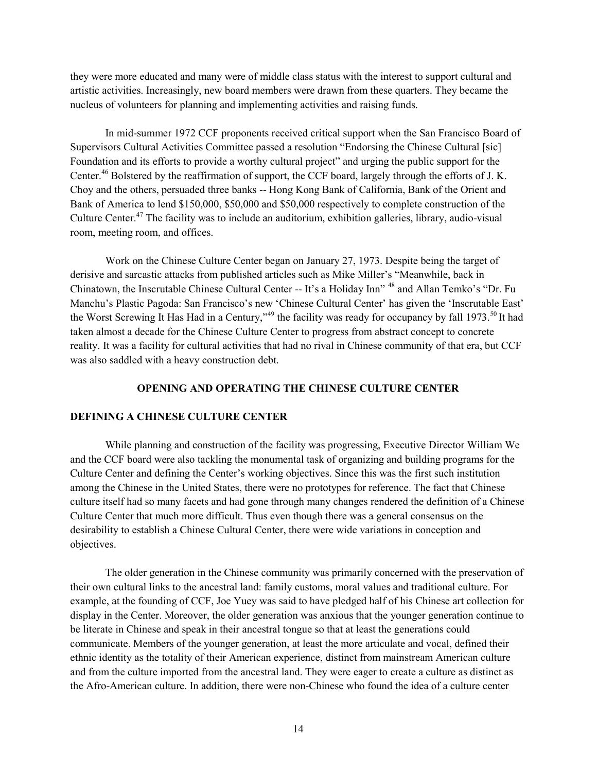they were more educated and many were of middle class status with the interest to support cultural and artistic activities. Increasingly, new board members were drawn from these quarters. They became the nucleus of volunteers for planning and implementing activities and raising funds.

 In mid-summer 1972 CCF proponents received critical support when the San Francisco Board of Supervisors Cultural Activities Committee passed a resolution "Endorsing the Chinese Cultural [sic] Foundation and its efforts to provide a worthy cultural project" and urging the public support for the Center.<sup>46</sup> Bolstered by the reaffirmation of support, the CCF board, largely through the efforts of J.K. Choy and the others, persuaded three banks -- Hong Kong Bank of California, Bank of the Orient and Bank of America to lend \$150,000, \$50,000 and \$50,000 respectively to complete construction of the Culture Center.<sup>47</sup> The facility was to include an auditorium, exhibition galleries, library, audio-visual room, meeting room, and offices.

 Work on the Chinese Culture Center began on January 27, 1973. Despite being the target of derisive and sarcastic attacks from published articles such as Mike Miller's "Meanwhile, back in Chinatown, the Inscrutable Chinese Cultural Center -- It's a Holiday Inn" <sup>48</sup> and Allan Temko's "Dr. Fu Manchu's Plastic Pagoda: San Francisco's new 'Chinese Cultural Center' has given the 'Inscrutable East' the Worst Screwing It Has Had in a Century,"<sup>49</sup> the facility was ready for occupancy by fall 1973.<sup>50</sup> It had taken almost a decade for the Chinese Culture Center to progress from abstract concept to concrete reality. It was a facility for cultural activities that had no rival in Chinese community of that era, but CCF was also saddled with a heavy construction debt.

# OPENING AND OPERATING THE CHINESE CULTURE CENTER

## DEFINING A CHINESE CULTURE CENTER

While planning and construction of the facility was progressing, Executive Director William We and the CCF board were also tackling the monumental task of organizing and building programs for the Culture Center and defining the Center's working objectives. Since this was the first such institution among the Chinese in the United States, there were no prototypes for reference. The fact that Chinese culture itself had so many facets and had gone through many changes rendered the definition of a Chinese Culture Center that much more difficult. Thus even though there was a general consensus on the desirability to establish a Chinese Cultural Center, there were wide variations in conception and objectives.

The older generation in the Chinese community was primarily concerned with the preservation of their own cultural links to the ancestral land: family customs, moral values and traditional culture. For example, at the founding of CCF, Joe Yuey was said to have pledged half of his Chinese art collection for display in the Center. Moreover, the older generation was anxious that the younger generation continue to be literate in Chinese and speak in their ancestral tongue so that at least the generations could communicate. Members of the younger generation, at least the more articulate and vocal, defined their ethnic identity as the totality of their American experience, distinct from mainstream American culture and from the culture imported from the ancestral land. They were eager to create a culture as distinct as the Afro-American culture. In addition, there were non-Chinese who found the idea of a culture center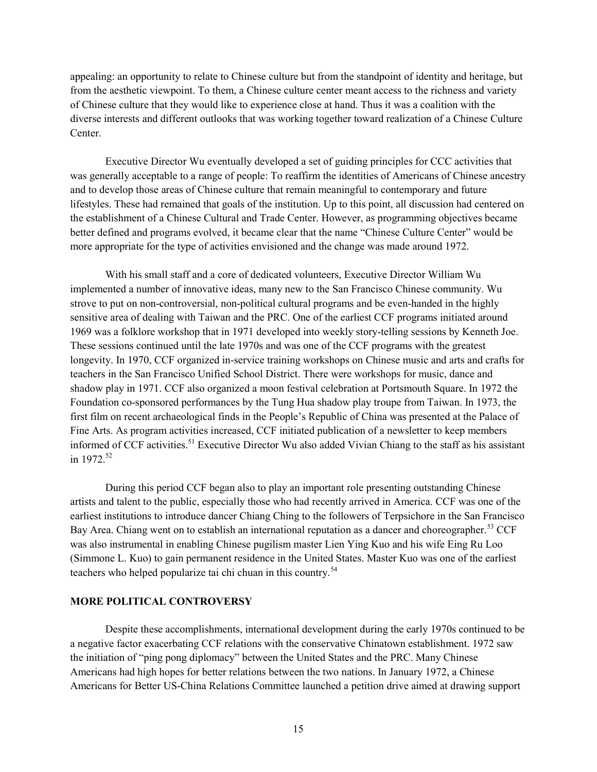appealing: an opportunity to relate to Chinese culture but from the standpoint of identity and heritage, but from the aesthetic viewpoint. To them, a Chinese culture center meant access to the richness and variety of Chinese culture that they would like to experience close at hand. Thus it was a coalition with the diverse interests and different outlooks that was working together toward realization of a Chinese Culture Center.

Executive Director Wu eventually developed a set of guiding principles for CCC activities that was generally acceptable to a range of people: To reaffirm the identities of Americans of Chinese ancestry and to develop those areas of Chinese culture that remain meaningful to contemporary and future lifestyles. These had remained that goals of the institution. Up to this point, all discussion had centered on the establishment of a Chinese Cultural and Trade Center. However, as programming objectives became better defined and programs evolved, it became clear that the name "Chinese Culture Center" would be more appropriate for the type of activities envisioned and the change was made around 1972.

With his small staff and a core of dedicated volunteers, Executive Director William Wu implemented a number of innovative ideas, many new to the San Francisco Chinese community. Wu strove to put on non-controversial, non-political cultural programs and be even-handed in the highly sensitive area of dealing with Taiwan and the PRC. One of the earliest CCF programs initiated around 1969 was a folklore workshop that in 1971 developed into weekly story-telling sessions by Kenneth Joe. These sessions continued until the late 1970s and was one of the CCF programs with the greatest longevity. In 1970, CCF organized in-service training workshops on Chinese music and arts and crafts for teachers in the San Francisco Unified School District. There were workshops for music, dance and shadow play in 1971. CCF also organized a moon festival celebration at Portsmouth Square. In 1972 the Foundation co-sponsored performances by the Tung Hua shadow play troupe from Taiwan. In 1973, the first film on recent archaeological finds in the People's Republic of China was presented at the Palace of Fine Arts. As program activities increased, CCF initiated publication of a newsletter to keep members informed of CCF activities.<sup>51</sup> Executive Director Wu also added Vivian Chiang to the staff as his assistant in  $1972^{52}$ 

During this period CCF began also to play an important role presenting outstanding Chinese artists and talent to the public, especially those who had recently arrived in America. CCF was one of the earliest institutions to introduce dancer Chiang Ching to the followers of Terpsichore in the San Francisco Bay Area. Chiang went on to establish an international reputation as a dancer and choreographer.<sup>53</sup> CCF was also instrumental in enabling Chinese pugilism master Lien Ying Kuo and his wife Eing Ru Loo (Simmone L. Kuo) to gain permanent residence in the United States. Master Kuo was one of the earliest teachers who helped popularize tai chi chuan in this country.<sup>54</sup>

## MORE POLITICAL CONTROVERSY

 Despite these accomplishments, international development during the early 1970s continued to be a negative factor exacerbating CCF relations with the conservative Chinatown establishment. 1972 saw the initiation of "ping pong diplomacy" between the United States and the PRC. Many Chinese Americans had high hopes for better relations between the two nations. In January 1972, a Chinese Americans for Better US-China Relations Committee launched a petition drive aimed at drawing support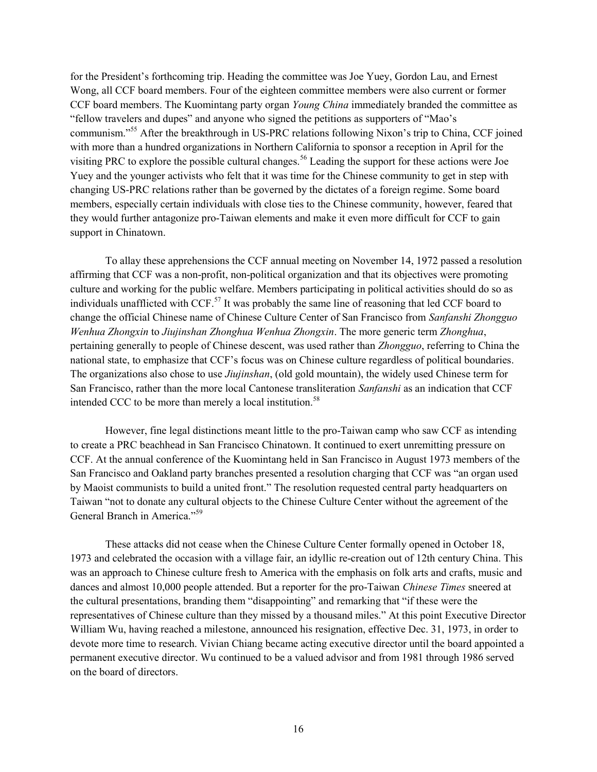for the President's forthcoming trip. Heading the committee was Joe Yuey, Gordon Lau, and Ernest Wong, all CCF board members. Four of the eighteen committee members were also current or former CCF board members. The Kuomintang party organ Young China immediately branded the committee as "fellow travelers and dupes" and anyone who signed the petitions as supporters of "Mao's communism."<sup>55</sup> After the breakthrough in US-PRC relations following Nixon's trip to China, CCF joined with more than a hundred organizations in Northern California to sponsor a reception in April for the visiting PRC to explore the possible cultural changes.<sup>56</sup> Leading the support for these actions were Joe Yuey and the younger activists who felt that it was time for the Chinese community to get in step with changing US-PRC relations rather than be governed by the dictates of a foreign regime. Some board members, especially certain individuals with close ties to the Chinese community, however, feared that they would further antagonize pro-Taiwan elements and make it even more difficult for CCF to gain support in Chinatown.

 To allay these apprehensions the CCF annual meeting on November 14, 1972 passed a resolution affirming that CCF was a non-profit, non-political organization and that its objectives were promoting culture and working for the public welfare. Members participating in political activities should do so as individuals unafflicted with CCF.<sup>57</sup> It was probably the same line of reasoning that led CCF board to change the official Chinese name of Chinese Culture Center of San Francisco from Sanfanshi Zhongguo Wenhua Zhongxin to Jiujinshan Zhonghua Wenhua Zhongxin. The more generic term Zhonghua, pertaining generally to people of Chinese descent, was used rather than Zhongguo, referring to China the national state, to emphasize that CCF's focus was on Chinese culture regardless of political boundaries. The organizations also chose to use *Jiujinshan*, (old gold mountain), the widely used Chinese term for San Francisco, rather than the more local Cantonese transliteration Sanfanshi as an indication that CCF intended CCC to be more than merely a local institution.<sup>58</sup>

 However, fine legal distinctions meant little to the pro-Taiwan camp who saw CCF as intending to create a PRC beachhead in San Francisco Chinatown. It continued to exert unremitting pressure on CCF. At the annual conference of the Kuomintang held in San Francisco in August 1973 members of the San Francisco and Oakland party branches presented a resolution charging that CCF was "an organ used by Maoist communists to build a united front." The resolution requested central party headquarters on Taiwan "not to donate any cultural objects to the Chinese Culture Center without the agreement of the General Branch in America."<sup>59</sup>

These attacks did not cease when the Chinese Culture Center formally opened in October 18, 1973 and celebrated the occasion with a village fair, an idyllic re-creation out of 12th century China. This was an approach to Chinese culture fresh to America with the emphasis on folk arts and crafts, music and dances and almost 10,000 people attended. But a reporter for the pro-Taiwan Chinese Times sneered at the cultural presentations, branding them "disappointing" and remarking that "if these were the representatives of Chinese culture than they missed by a thousand miles." At this point Executive Director William Wu, having reached a milestone, announced his resignation, effective Dec. 31, 1973, in order to devote more time to research. Vivian Chiang became acting executive director until the board appointed a permanent executive director. Wu continued to be a valued advisor and from 1981 through 1986 served on the board of directors.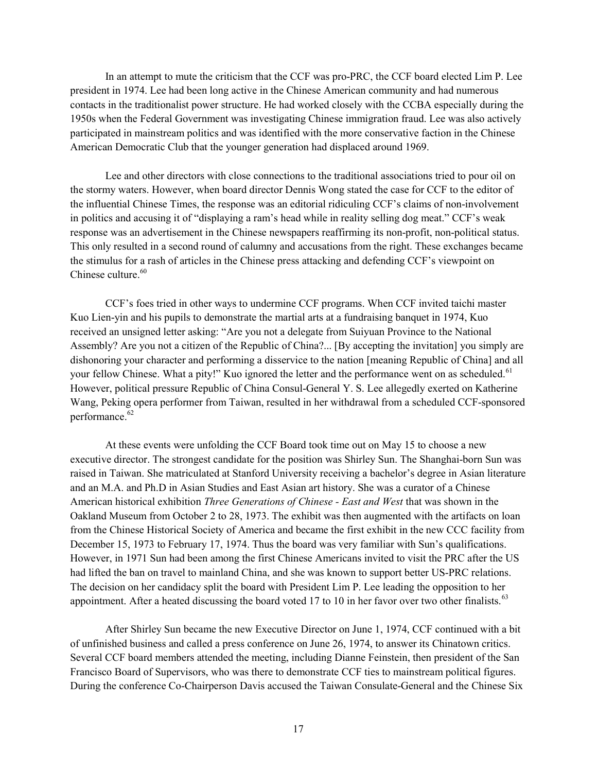In an attempt to mute the criticism that the CCF was pro-PRC, the CCF board elected Lim P. Lee president in 1974. Lee had been long active in the Chinese American community and had numerous contacts in the traditionalist power structure. He had worked closely with the CCBA especially during the 1950s when the Federal Government was investigating Chinese immigration fraud. Lee was also actively participated in mainstream politics and was identified with the more conservative faction in the Chinese American Democratic Club that the younger generation had displaced around 1969.

Lee and other directors with close connections to the traditional associations tried to pour oil on the stormy waters. However, when board director Dennis Wong stated the case for CCF to the editor of the influential Chinese Times, the response was an editorial ridiculing CCF's claims of non-involvement in politics and accusing it of "displaying a ram's head while in reality selling dog meat." CCF's weak response was an advertisement in the Chinese newspapers reaffirming its non-profit, non-political status. This only resulted in a second round of calumny and accusations from the right. These exchanges became the stimulus for a rash of articles in the Chinese press attacking and defending CCF's viewpoint on Chinese culture. $60$ 

CCF's foes tried in other ways to undermine CCF programs. When CCF invited taichi master Kuo Lien-yin and his pupils to demonstrate the martial arts at a fundraising banquet in 1974, Kuo received an unsigned letter asking: "Are you not a delegate from Suiyuan Province to the National Assembly? Are you not a citizen of the Republic of China?... [By accepting the invitation] you simply are dishonoring your character and performing a disservice to the nation [meaning Republic of China] and all your fellow Chinese. What a pity!" Kuo ignored the letter and the performance went on as scheduled.<sup>61</sup> However, political pressure Republic of China Consul-General Y. S. Lee allegedly exerted on Katherine Wang, Peking opera performer from Taiwan, resulted in her withdrawal from a scheduled CCF-sponsored performance.<sup>62</sup>

At these events were unfolding the CCF Board took time out on May 15 to choose a new executive director. The strongest candidate for the position was Shirley Sun. The Shanghai-born Sun was raised in Taiwan. She matriculated at Stanford University receiving a bachelor's degree in Asian literature and an M.A. and Ph.D in Asian Studies and East Asian art history. She was a curator of a Chinese American historical exhibition Three Generations of Chinese - East and West that was shown in the Oakland Museum from October 2 to 28, 1973. The exhibit was then augmented with the artifacts on loan from the Chinese Historical Society of America and became the first exhibit in the new CCC facility from December 15, 1973 to February 17, 1974. Thus the board was very familiar with Sun's qualifications. However, in 1971 Sun had been among the first Chinese Americans invited to visit the PRC after the US had lifted the ban on travel to mainland China, and she was known to support better US-PRC relations. The decision on her candidacy split the board with President Lim P. Lee leading the opposition to her appointment. After a heated discussing the board voted 17 to 10 in her favor over two other finalists.<sup>63</sup>

After Shirley Sun became the new Executive Director on June 1, 1974, CCF continued with a bit of unfinished business and called a press conference on June 26, 1974, to answer its Chinatown critics. Several CCF board members attended the meeting, including Dianne Feinstein, then president of the San Francisco Board of Supervisors, who was there to demonstrate CCF ties to mainstream political figures. During the conference Co-Chairperson Davis accused the Taiwan Consulate-General and the Chinese Six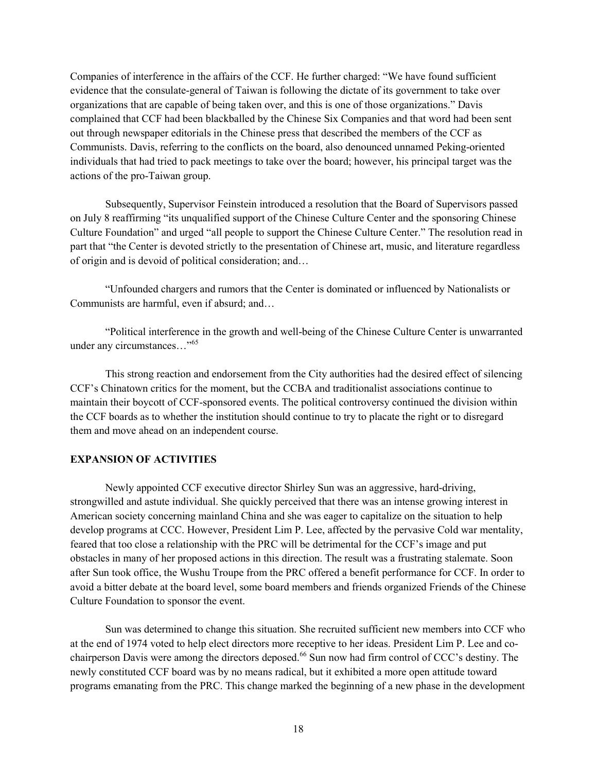Companies of interference in the affairs of the CCF. He further charged: "We have found sufficient evidence that the consulate-general of Taiwan is following the dictate of its government to take over organizations that are capable of being taken over, and this is one of those organizations." Davis complained that CCF had been blackballed by the Chinese Six Companies and that word had been sent out through newspaper editorials in the Chinese press that described the members of the CCF as Communists. Davis, referring to the conflicts on the board, also denounced unnamed Peking-oriented individuals that had tried to pack meetings to take over the board; however, his principal target was the actions of the pro-Taiwan group.

Subsequently, Supervisor Feinstein introduced a resolution that the Board of Supervisors passed on July 8 reaffirming "its unqualified support of the Chinese Culture Center and the sponsoring Chinese Culture Foundation" and urged "all people to support the Chinese Culture Center." The resolution read in part that "the Center is devoted strictly to the presentation of Chinese art, music, and literature regardless of origin and is devoid of political consideration; and…

"Unfounded chargers and rumors that the Center is dominated or influenced by Nationalists or Communists are harmful, even if absurd; and…

"Political interference in the growth and well-being of the Chinese Culture Center is unwarranted under any circumstances..."<sup>65</sup>

This strong reaction and endorsement from the City authorities had the desired effect of silencing CCF's Chinatown critics for the moment, but the CCBA and traditionalist associations continue to maintain their boycott of CCF-sponsored events. The political controversy continued the division within the CCF boards as to whether the institution should continue to try to placate the right or to disregard them and move ahead on an independent course.

# EXPANSION OF ACTIVITIES

 Newly appointed CCF executive director Shirley Sun was an aggressive, hard-driving, strongwilled and astute individual. She quickly perceived that there was an intense growing interest in American society concerning mainland China and she was eager to capitalize on the situation to help develop programs at CCC. However, President Lim P. Lee, affected by the pervasive Cold war mentality, feared that too close a relationship with the PRC will be detrimental for the CCF's image and put obstacles in many of her proposed actions in this direction. The result was a frustrating stalemate. Soon after Sun took office, the Wushu Troupe from the PRC offered a benefit performance for CCF. In order to avoid a bitter debate at the board level, some board members and friends organized Friends of the Chinese Culture Foundation to sponsor the event.

Sun was determined to change this situation. She recruited sufficient new members into CCF who at the end of 1974 voted to help elect directors more receptive to her ideas. President Lim P. Lee and cochairperson Davis were among the directors deposed.<sup>66</sup> Sun now had firm control of CCC's destiny. The newly constituted CCF board was by no means radical, but it exhibited a more open attitude toward programs emanating from the PRC. This change marked the beginning of a new phase in the development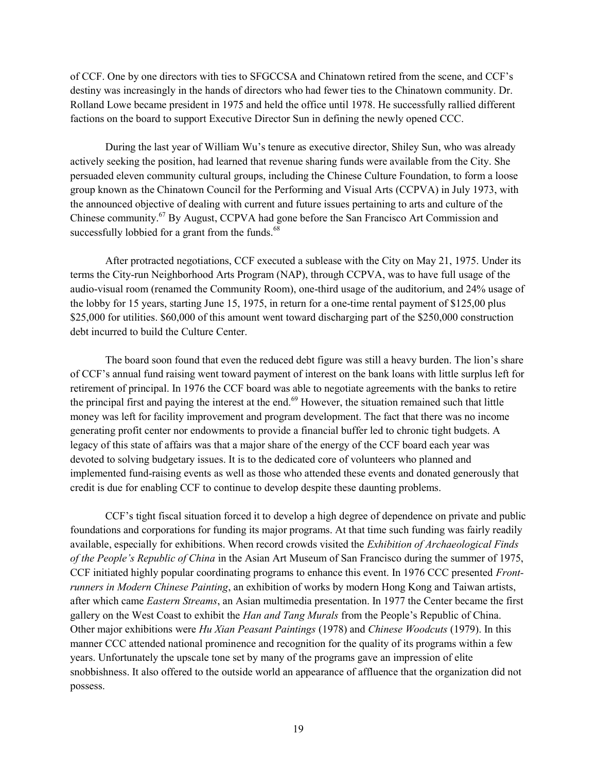of CCF. One by one directors with ties to SFGCCSA and Chinatown retired from the scene, and CCF's destiny was increasingly in the hands of directors who had fewer ties to the Chinatown community. Dr. Rolland Lowe became president in 1975 and held the office until 1978. He successfully rallied different factions on the board to support Executive Director Sun in defining the newly opened CCC.

During the last year of William Wu's tenure as executive director, Shiley Sun, who was already actively seeking the position, had learned that revenue sharing funds were available from the City. She persuaded eleven community cultural groups, including the Chinese Culture Foundation, to form a loose group known as the Chinatown Council for the Performing and Visual Arts (CCPVA) in July 1973, with the announced objective of dealing with current and future issues pertaining to arts and culture of the Chinese community.<sup>67</sup> By August, CCPVA had gone before the San Francisco Art Commission and successfully lobbied for a grant from the funds.<sup>68</sup>

After protracted negotiations, CCF executed a sublease with the City on May 21, 1975. Under its terms the City-run Neighborhood Arts Program (NAP), through CCPVA, was to have full usage of the audio-visual room (renamed the Community Room), one-third usage of the auditorium, and 24% usage of the lobby for 15 years, starting June 15, 1975, in return for a one-time rental payment of \$125,00 plus \$25,000 for utilities. \$60,000 of this amount went toward discharging part of the \$250,000 construction debt incurred to build the Culture Center.

The board soon found that even the reduced debt figure was still a heavy burden. The lion's share of CCF's annual fund raising went toward payment of interest on the bank loans with little surplus left for retirement of principal. In 1976 the CCF board was able to negotiate agreements with the banks to retire the principal first and paying the interest at the end.<sup>69</sup> However, the situation remained such that little money was left for facility improvement and program development. The fact that there was no income generating profit center nor endowments to provide a financial buffer led to chronic tight budgets. A legacy of this state of affairs was that a major share of the energy of the CCF board each year was devoted to solving budgetary issues. It is to the dedicated core of volunteers who planned and implemented fund-raising events as well as those who attended these events and donated generously that credit is due for enabling CCF to continue to develop despite these daunting problems.

CCF's tight fiscal situation forced it to develop a high degree of dependence on private and public foundations and corporations for funding its major programs. At that time such funding was fairly readily available, especially for exhibitions. When record crowds visited the Exhibition of Archaeological Finds of the People's Republic of China in the Asian Art Museum of San Francisco during the summer of 1975, CCF initiated highly popular coordinating programs to enhance this event. In 1976 CCC presented Frontrunners in Modern Chinese Painting, an exhibition of works by modern Hong Kong and Taiwan artists, after which came Eastern Streams, an Asian multimedia presentation. In 1977 the Center became the first gallery on the West Coast to exhibit the Han and Tang Murals from the People's Republic of China. Other major exhibitions were Hu Xian Peasant Paintings (1978) and Chinese Woodcuts (1979). In this manner CCC attended national prominence and recognition for the quality of its programs within a few years. Unfortunately the upscale tone set by many of the programs gave an impression of elite snobbishness. It also offered to the outside world an appearance of affluence that the organization did not possess.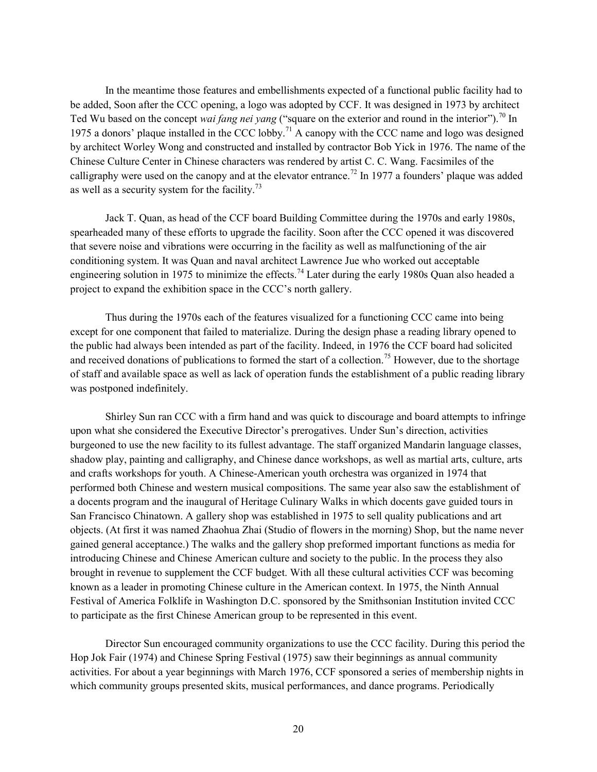In the meantime those features and embellishments expected of a functional public facility had to be added, Soon after the CCC opening, a logo was adopted by CCF. It was designed in 1973 by architect Ted Wu based on the concept wai fang nei yang ("square on the exterior and round in the interior").<sup>70</sup> In 1975 a donors' plaque installed in the CCC lobby.<sup>71</sup> A canopy with the CCC name and logo was designed by architect Worley Wong and constructed and installed by contractor Bob Yick in 1976. The name of the Chinese Culture Center in Chinese characters was rendered by artist C. C. Wang. Facsimiles of the calligraphy were used on the canopy and at the elevator entrance.<sup>72</sup> In 1977 a founders' plaque was added as well as a security system for the facility.<sup>73</sup>

Jack T. Quan, as head of the CCF board Building Committee during the 1970s and early 1980s, spearheaded many of these efforts to upgrade the facility. Soon after the CCC opened it was discovered that severe noise and vibrations were occurring in the facility as well as malfunctioning of the air conditioning system. It was Quan and naval architect Lawrence Jue who worked out acceptable engineering solution in 1975 to minimize the effects.<sup>74</sup> Later during the early 1980s Quan also headed a project to expand the exhibition space in the CCC's north gallery.

Thus during the 1970s each of the features visualized for a functioning CCC came into being except for one component that failed to materialize. During the design phase a reading library opened to the public had always been intended as part of the facility. Indeed, in 1976 the CCF board had solicited and received donations of publications to formed the start of a collection.<sup>75</sup> However, due to the shortage of staff and available space as well as lack of operation funds the establishment of a public reading library was postponed indefinitely.

Shirley Sun ran CCC with a firm hand and was quick to discourage and board attempts to infringe upon what she considered the Executive Director's prerogatives. Under Sun's direction, activities burgeoned to use the new facility to its fullest advantage. The staff organized Mandarin language classes, shadow play, painting and calligraphy, and Chinese dance workshops, as well as martial arts, culture, arts and crafts workshops for youth. A Chinese-American youth orchestra was organized in 1974 that performed both Chinese and western musical compositions. The same year also saw the establishment of a docents program and the inaugural of Heritage Culinary Walks in which docents gave guided tours in San Francisco Chinatown. A gallery shop was established in 1975 to sell quality publications and art objects. (At first it was named Zhaohua Zhai (Studio of flowers in the morning) Shop, but the name never gained general acceptance.) The walks and the gallery shop preformed important functions as media for introducing Chinese and Chinese American culture and society to the public. In the process they also brought in revenue to supplement the CCF budget. With all these cultural activities CCF was becoming known as a leader in promoting Chinese culture in the American context. In 1975, the Ninth Annual Festival of America Folklife in Washington D.C. sponsored by the Smithsonian Institution invited CCC to participate as the first Chinese American group to be represented in this event.

Director Sun encouraged community organizations to use the CCC facility. During this period the Hop Jok Fair (1974) and Chinese Spring Festival (1975) saw their beginnings as annual community activities. For about a year beginnings with March 1976, CCF sponsored a series of membership nights in which community groups presented skits, musical performances, and dance programs. Periodically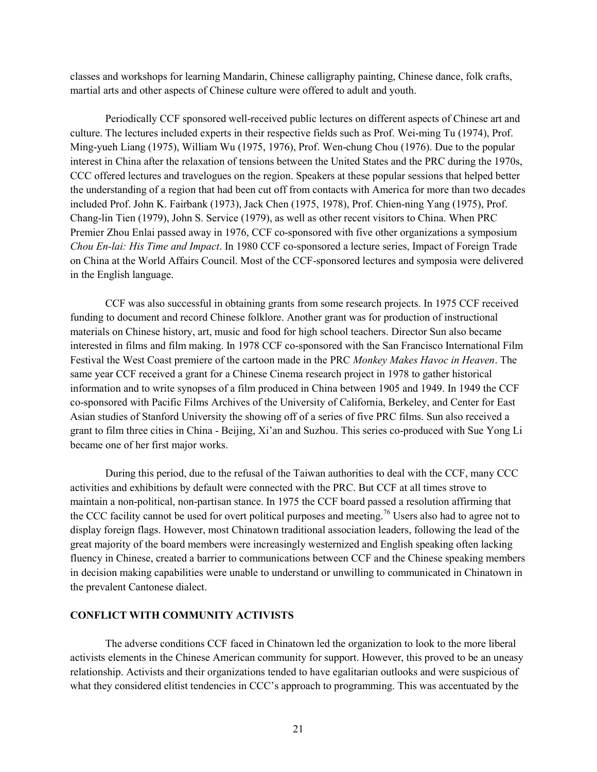classes and workshops for learning Mandarin, Chinese calligraphy painting, Chinese dance, folk crafts, martial arts and other aspects of Chinese culture were offered to adult and youth.

Periodically CCF sponsored well-received public lectures on different aspects of Chinese art and culture. The lectures included experts in their respective fields such as Prof. Wei-ming Tu (1974), Prof. Ming-yueh Liang (1975), William Wu (1975, 1976), Prof. Wen-chung Chou (1976). Due to the popular interest in China after the relaxation of tensions between the United States and the PRC during the 1970s, CCC offered lectures and travelogues on the region. Speakers at these popular sessions that helped better the understanding of a region that had been cut off from contacts with America for more than two decades included Prof. John K. Fairbank (1973), Jack Chen (1975, 1978), Prof. Chien-ning Yang (1975), Prof. Chang-lin Tien (1979), John S. Service (1979), as well as other recent visitors to China. When PRC Premier Zhou Enlai passed away in 1976, CCF co-sponsored with five other organizations a symposium Chou En-lai: His Time and Impact. In 1980 CCF co-sponsored a lecture series, Impact of Foreign Trade on China at the World Affairs Council. Most of the CCF-sponsored lectures and symposia were delivered in the English language.

CCF was also successful in obtaining grants from some research projects. In 1975 CCF received funding to document and record Chinese folklore. Another grant was for production of instructional materials on Chinese history, art, music and food for high school teachers. Director Sun also became interested in films and film making. In 1978 CCF co-sponsored with the San Francisco International Film Festival the West Coast premiere of the cartoon made in the PRC Monkey Makes Havoc in Heaven. The same year CCF received a grant for a Chinese Cinema research project in 1978 to gather historical information and to write synopses of a film produced in China between 1905 and 1949. In 1949 the CCF co-sponsored with Pacific Films Archives of the University of California, Berkeley, and Center for East Asian studies of Stanford University the showing off of a series of five PRC films. Sun also received a grant to film three cities in China - Beijing, Xi'an and Suzhou. This series co-produced with Sue Yong Li became one of her first major works.

During this period, due to the refusal of the Taiwan authorities to deal with the CCF, many CCC activities and exhibitions by default were connected with the PRC. But CCF at all times strove to maintain a non-political, non-partisan stance. In 1975 the CCF board passed a resolution affirming that the CCC facility cannot be used for overt political purposes and meeting.<sup>76</sup> Users also had to agree not to display foreign flags. However, most Chinatown traditional association leaders, following the lead of the great majority of the board members were increasingly westernized and English speaking often lacking fluency in Chinese, created a barrier to communications between CCF and the Chinese speaking members in decision making capabilities were unable to understand or unwilling to communicated in Chinatown in the prevalent Cantonese dialect.

#### CONFLICT WITH COMMUNITY ACTIVISTS

The adverse conditions CCF faced in Chinatown led the organization to look to the more liberal activists elements in the Chinese American community for support. However, this proved to be an uneasy relationship. Activists and their organizations tended to have egalitarian outlooks and were suspicious of what they considered elitist tendencies in CCC's approach to programming. This was accentuated by the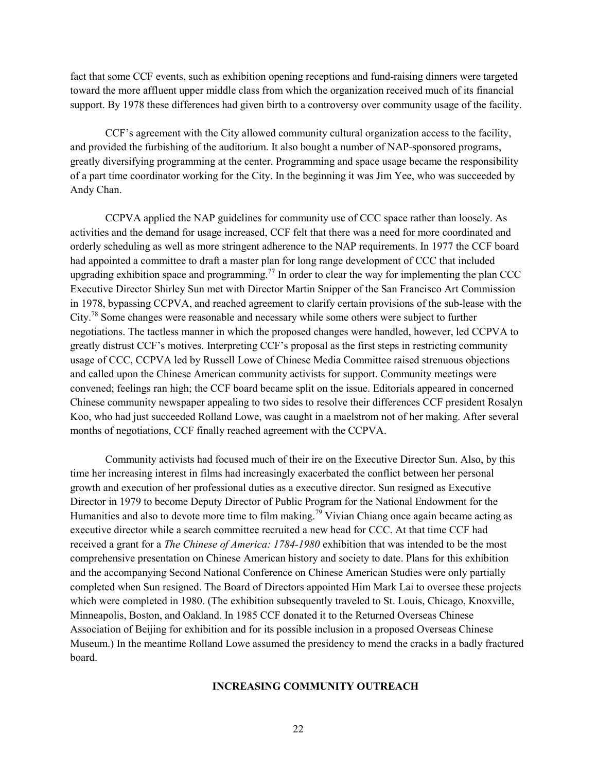fact that some CCF events, such as exhibition opening receptions and fund-raising dinners were targeted toward the more affluent upper middle class from which the organization received much of its financial support. By 1978 these differences had given birth to a controversy over community usage of the facility.

CCF's agreement with the City allowed community cultural organization access to the facility, and provided the furbishing of the auditorium. It also bought a number of NAP-sponsored programs, greatly diversifying programming at the center. Programming and space usage became the responsibility of a part time coordinator working for the City. In the beginning it was Jim Yee, who was succeeded by Andy Chan.

CCPVA applied the NAP guidelines for community use of CCC space rather than loosely. As activities and the demand for usage increased, CCF felt that there was a need for more coordinated and orderly scheduling as well as more stringent adherence to the NAP requirements. In 1977 the CCF board had appointed a committee to draft a master plan for long range development of CCC that included upgrading exhibition space and programming.<sup>77</sup> In order to clear the way for implementing the plan CCC Executive Director Shirley Sun met with Director Martin Snipper of the San Francisco Art Commission in 1978, bypassing CCPVA, and reached agreement to clarify certain provisions of the sub-lease with the City.<sup>78</sup> Some changes were reasonable and necessary while some others were subject to further negotiations. The tactless manner in which the proposed changes were handled, however, led CCPVA to greatly distrust CCF's motives. Interpreting CCF's proposal as the first steps in restricting community usage of CCC, CCPVA led by Russell Lowe of Chinese Media Committee raised strenuous objections and called upon the Chinese American community activists for support. Community meetings were convened; feelings ran high; the CCF board became split on the issue. Editorials appeared in concerned Chinese community newspaper appealing to two sides to resolve their differences CCF president Rosalyn Koo, who had just succeeded Rolland Lowe, was caught in a maelstrom not of her making. After several months of negotiations, CCF finally reached agreement with the CCPVA.

Community activists had focused much of their ire on the Executive Director Sun. Also, by this time her increasing interest in films had increasingly exacerbated the conflict between her personal growth and execution of her professional duties as a executive director. Sun resigned as Executive Director in 1979 to become Deputy Director of Public Program for the National Endowment for the Humanities and also to devote more time to film making.<sup>79</sup> Vivian Chiang once again became acting as executive director while a search committee recruited a new head for CCC. At that time CCF had received a grant for a *The Chinese of America: 1784-1980* exhibition that was intended to be the most comprehensive presentation on Chinese American history and society to date. Plans for this exhibition and the accompanying Second National Conference on Chinese American Studies were only partially completed when Sun resigned. The Board of Directors appointed Him Mark Lai to oversee these projects which were completed in 1980. (The exhibition subsequently traveled to St. Louis, Chicago, Knoxville, Minneapolis, Boston, and Oakland. In 1985 CCF donated it to the Returned Overseas Chinese Association of Beijing for exhibition and for its possible inclusion in a proposed Overseas Chinese Museum.) In the meantime Rolland Lowe assumed the presidency to mend the cracks in a badly fractured board.

# INCREASING COMMUNITY OUTREACH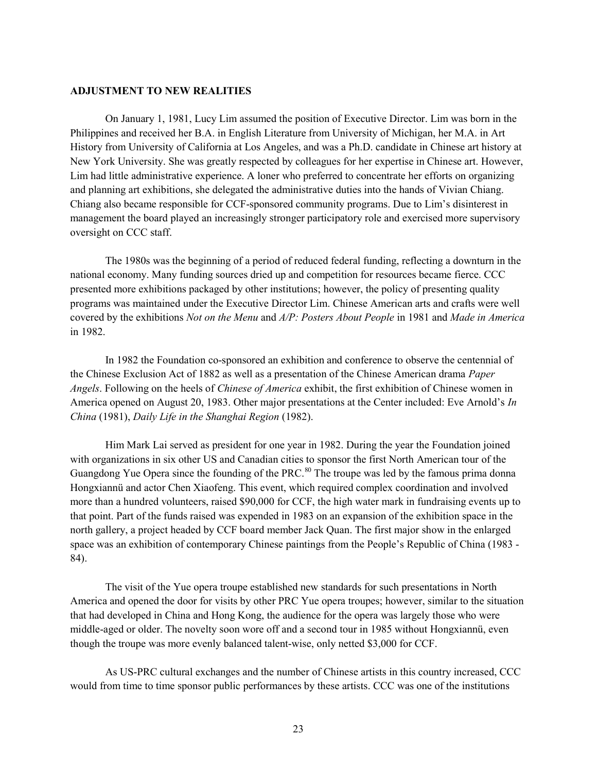## ADJUSTMENT TO NEW REALITIES

On January 1, 1981, Lucy Lim assumed the position of Executive Director. Lim was born in the Philippines and received her B.A. in English Literature from University of Michigan, her M.A. in Art History from University of California at Los Angeles, and was a Ph.D. candidate in Chinese art history at New York University. She was greatly respected by colleagues for her expertise in Chinese art. However, Lim had little administrative experience. A loner who preferred to concentrate her efforts on organizing and planning art exhibitions, she delegated the administrative duties into the hands of Vivian Chiang. Chiang also became responsible for CCF-sponsored community programs. Due to Lim's disinterest in management the board played an increasingly stronger participatory role and exercised more supervisory oversight on CCC staff.

The 1980s was the beginning of a period of reduced federal funding, reflecting a downturn in the national economy. Many funding sources dried up and competition for resources became fierce. CCC presented more exhibitions packaged by other institutions; however, the policy of presenting quality programs was maintained under the Executive Director Lim. Chinese American arts and crafts were well covered by the exhibitions Not on the Menu and A/P: Posters About People in 1981 and Made in America in 1982.

In 1982 the Foundation co-sponsored an exhibition and conference to observe the centennial of the Chinese Exclusion Act of 1882 as well as a presentation of the Chinese American drama Paper Angels. Following on the heels of *Chinese of America* exhibit, the first exhibition of Chinese women in America opened on August 20, 1983. Other major presentations at the Center included: Eve Arnold's In China (1981), Daily Life in the Shanghai Region (1982).

Him Mark Lai served as president for one year in 1982. During the year the Foundation joined with organizations in six other US and Canadian cities to sponsor the first North American tour of the Guangdong Yue Opera since the founding of the PRC.<sup>80</sup> The troupe was led by the famous prima donna Hongxiannü and actor Chen Xiaofeng. This event, which required complex coordination and involved more than a hundred volunteers, raised \$90,000 for CCF, the high water mark in fundraising events up to that point. Part of the funds raised was expended in 1983 on an expansion of the exhibition space in the north gallery, a project headed by CCF board member Jack Quan. The first major show in the enlarged space was an exhibition of contemporary Chinese paintings from the People's Republic of China (1983 - 84).

The visit of the Yue opera troupe established new standards for such presentations in North America and opened the door for visits by other PRC Yue opera troupes; however, similar to the situation that had developed in China and Hong Kong, the audience for the opera was largely those who were middle-aged or older. The novelty soon wore off and a second tour in 1985 without Hongxiannü, even though the troupe was more evenly balanced talent-wise, only netted \$3,000 for CCF.

As US-PRC cultural exchanges and the number of Chinese artists in this country increased, CCC would from time to time sponsor public performances by these artists. CCC was one of the institutions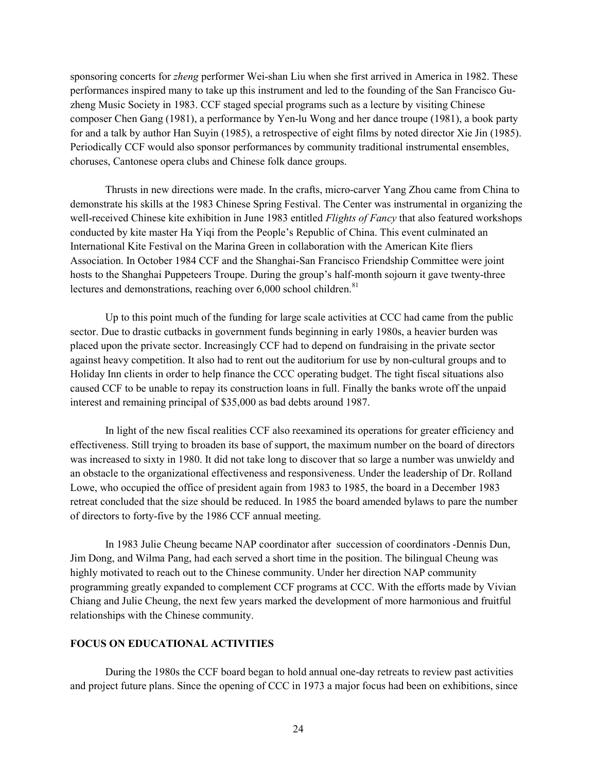sponsoring concerts for *zheng* performer Wei-shan Liu when she first arrived in America in 1982. These performances inspired many to take up this instrument and led to the founding of the San Francisco Guzheng Music Society in 1983. CCF staged special programs such as a lecture by visiting Chinese composer Chen Gang (1981), a performance by Yen-lu Wong and her dance troupe (1981), a book party for and a talk by author Han Suyin (1985), a retrospective of eight films by noted director Xie Jin (1985). Periodically CCF would also sponsor performances by community traditional instrumental ensembles, choruses, Cantonese opera clubs and Chinese folk dance groups.

Thrusts in new directions were made. In the crafts, micro-carver Yang Zhou came from China to demonstrate his skills at the 1983 Chinese Spring Festival. The Center was instrumental in organizing the well-received Chinese kite exhibition in June 1983 entitled Flights of Fancy that also featured workshops conducted by kite master Ha Yiqi from the People's Republic of China. This event culminated an International Kite Festival on the Marina Green in collaboration with the American Kite fliers Association. In October 1984 CCF and the Shanghai-San Francisco Friendship Committee were joint hosts to the Shanghai Puppeteers Troupe. During the group's half-month sojourn it gave twenty-three lectures and demonstrations, reaching over  $6,000$  school children.<sup>81</sup>

Up to this point much of the funding for large scale activities at CCC had came from the public sector. Due to drastic cutbacks in government funds beginning in early 1980s, a heavier burden was placed upon the private sector. Increasingly CCF had to depend on fundraising in the private sector against heavy competition. It also had to rent out the auditorium for use by non-cultural groups and to Holiday Inn clients in order to help finance the CCC operating budget. The tight fiscal situations also caused CCF to be unable to repay its construction loans in full. Finally the banks wrote off the unpaid interest and remaining principal of \$35,000 as bad debts around 1987.

In light of the new fiscal realities CCF also reexamined its operations for greater efficiency and effectiveness. Still trying to broaden its base of support, the maximum number on the board of directors was increased to sixty in 1980. It did not take long to discover that so large a number was unwieldy and an obstacle to the organizational effectiveness and responsiveness. Under the leadership of Dr. Rolland Lowe, who occupied the office of president again from 1983 to 1985, the board in a December 1983 retreat concluded that the size should be reduced. In 1985 the board amended bylaws to pare the number of directors to forty-five by the 1986 CCF annual meeting.

In 1983 Julie Cheung became NAP coordinator after succession of coordinators -Dennis Dun, Jim Dong, and Wilma Pang, had each served a short time in the position. The bilingual Cheung was highly motivated to reach out to the Chinese community. Under her direction NAP community programming greatly expanded to complement CCF programs at CCC. With the efforts made by Vivian Chiang and Julie Cheung, the next few years marked the development of more harmonious and fruitful relationships with the Chinese community.

# FOCUS ON EDUCATIONAL ACTIVITIES

During the 1980s the CCF board began to hold annual one-day retreats to review past activities and project future plans. Since the opening of CCC in 1973 a major focus had been on exhibitions, since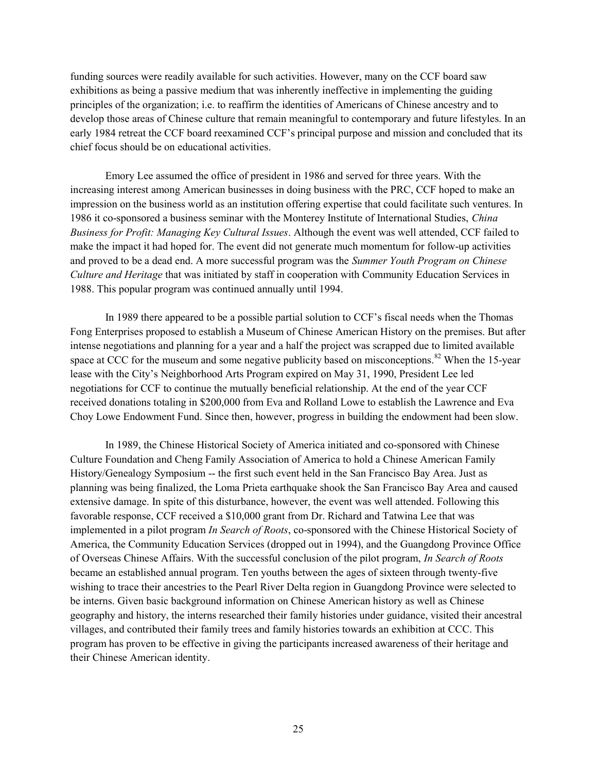funding sources were readily available for such activities. However, many on the CCF board saw exhibitions as being a passive medium that was inherently ineffective in implementing the guiding principles of the organization; i.e. to reaffirm the identities of Americans of Chinese ancestry and to develop those areas of Chinese culture that remain meaningful to contemporary and future lifestyles. In an early 1984 retreat the CCF board reexamined CCF's principal purpose and mission and concluded that its chief focus should be on educational activities.

Emory Lee assumed the office of president in 1986 and served for three years. With the increasing interest among American businesses in doing business with the PRC, CCF hoped to make an impression on the business world as an institution offering expertise that could facilitate such ventures. In 1986 it co-sponsored a business seminar with the Monterey Institute of International Studies, *China* Business for Profit: Managing Key Cultural Issues. Although the event was well attended, CCF failed to make the impact it had hoped for. The event did not generate much momentum for follow-up activities and proved to be a dead end. A more successful program was the Summer Youth Program on Chinese Culture and Heritage that was initiated by staff in cooperation with Community Education Services in 1988. This popular program was continued annually until 1994.

In 1989 there appeared to be a possible partial solution to CCF's fiscal needs when the Thomas Fong Enterprises proposed to establish a Museum of Chinese American History on the premises. But after intense negotiations and planning for a year and a half the project was scrapped due to limited available space at CCC for the museum and some negative publicity based on misconceptions.<sup>82</sup> When the 15-year lease with the City's Neighborhood Arts Program expired on May 31, 1990, President Lee led negotiations for CCF to continue the mutually beneficial relationship. At the end of the year CCF received donations totaling in \$200,000 from Eva and Rolland Lowe to establish the Lawrence and Eva Choy Lowe Endowment Fund. Since then, however, progress in building the endowment had been slow.

In 1989, the Chinese Historical Society of America initiated and co-sponsored with Chinese Culture Foundation and Cheng Family Association of America to hold a Chinese American Family History/Genealogy Symposium -- the first such event held in the San Francisco Bay Area. Just as planning was being finalized, the Loma Prieta earthquake shook the San Francisco Bay Area and caused extensive damage. In spite of this disturbance, however, the event was well attended. Following this favorable response, CCF received a \$10,000 grant from Dr. Richard and Tatwina Lee that was implemented in a pilot program In Search of Roots, co-sponsored with the Chinese Historical Society of America, the Community Education Services (dropped out in 1994), and the Guangdong Province Office of Overseas Chinese Affairs. With the successful conclusion of the pilot program, In Search of Roots became an established annual program. Ten youths between the ages of sixteen through twenty-five wishing to trace their ancestries to the Pearl River Delta region in Guangdong Province were selected to be interns. Given basic background information on Chinese American history as well as Chinese geography and history, the interns researched their family histories under guidance, visited their ancestral villages, and contributed their family trees and family histories towards an exhibition at CCC. This program has proven to be effective in giving the participants increased awareness of their heritage and their Chinese American identity.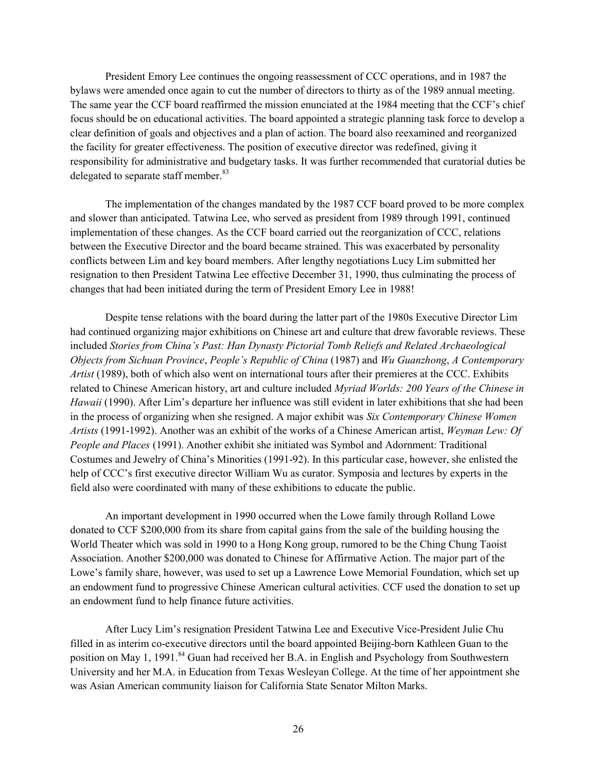President Emory Lee continues the ongoing reassessment of CCC operations, and in 1987 the bylaws were amended once again to cut the number of directors to thirty as of the 1989 annual meeting. The same year the CCF board reaffirmed the mission enunciated at the 1984 meeting that the CCF's chief focus should be on educational activities. The board appointed a strategic planning task force to develop a clear definition of goals and objectives and a plan of action. The board also reexamined and reorganized the facility for greater effectiveness. The position of executive director was redefined, giving it responsibility for administrative and budgetary tasks. It was further recommended that curatorial duties be delegated to separate staff member.<sup>83</sup>

The implementation of the changes mandated by the 1987 CCF board proved to be more complex and slower than anticipated. Tatwina Lee, who served as president from 1989 through 1991, continued implementation of these changes. As the CCF board carried out the reorganization of CCC, relations between the Executive Director and the board became strained. This was exacerbated by personality conflicts between Lim and key board members. After lengthy negotiations Lucy Lim submitted her resignation to then President Tatwina Lee effective December 31, 1990, thus culminating the process of changes that had been initiated during the term of President Emory Lee in 1988!

Despite tense relations with the board during the latter part of the 1980s Executive Director Lim had continued organizing major exhibitions on Chinese art and culture that drew favorable reviews. These included Stories from China's Past: Han Dynasty Pictorial Tomb Reliefs and Related Archaeological Objects from Sichuan Province, People's Republic of China (1987) and Wu Guanzhong, A Contemporary Artist (1989), both of which also went on international tours after their premieres at the CCC. Exhibits related to Chinese American history, art and culture included *Myriad Worlds: 200 Years of the Chinese in* Hawaii (1990). After Lim's departure her influence was still evident in later exhibitions that she had been in the process of organizing when she resigned. A major exhibit was Six Contemporary Chinese Women Artists (1991-1992). Another was an exhibit of the works of a Chinese American artist, Weyman Lew: Of People and Places (1991). Another exhibit she initiated was Symbol and Adornment: Traditional Costumes and Jewelry of China's Minorities (1991-92). In this particular case, however, she enlisted the help of CCC's first executive director William Wu as curator. Symposia and lectures by experts in the field also were coordinated with many of these exhibitions to educate the public.

An important development in 1990 occurred when the Lowe family through Rolland Lowe donated to CCF \$200,000 from its share from capital gains from the sale of the building housing the World Theater which was sold in 1990 to a Hong Kong group, rumored to be the Ching Chung Taoist Association. Another \$200,000 was donated to Chinese for Affirmative Action. The major part of the Lowe's family share, however, was used to set up a Lawrence Lowe Memorial Foundation, which set up an endowment fund to progressive Chinese American cultural activities. CCF used the donation to set up an endowment fund to help finance future activities.

After Lucy Lim's resignation President Tatwina Lee and Executive Vice-President Julie Chu filled in as interim co-executive directors until the board appointed Beijing-born Kathleen Guan to the position on May 1, 1991.<sup>84</sup> Guan had received her B.A. in English and Psychology from Southwestern University and her M.A. in Education from Texas Wesleyan College. At the time of her appointment she was Asian American community liaison for California State Senator Milton Marks.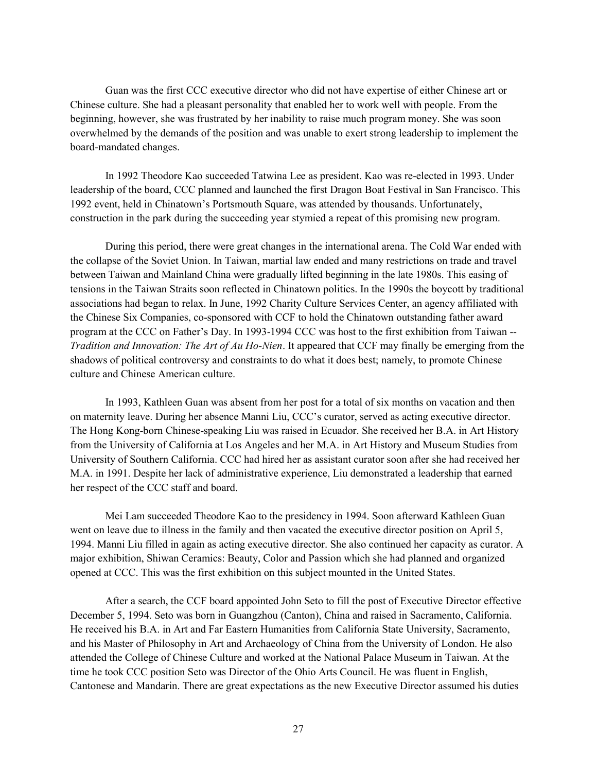Guan was the first CCC executive director who did not have expertise of either Chinese art or Chinese culture. She had a pleasant personality that enabled her to work well with people. From the beginning, however, she was frustrated by her inability to raise much program money. She was soon overwhelmed by the demands of the position and was unable to exert strong leadership to implement the board-mandated changes.

In 1992 Theodore Kao succeeded Tatwina Lee as president. Kao was re-elected in 1993. Under leadership of the board, CCC planned and launched the first Dragon Boat Festival in San Francisco. This 1992 event, held in Chinatown's Portsmouth Square, was attended by thousands. Unfortunately, construction in the park during the succeeding year stymied a repeat of this promising new program.

During this period, there were great changes in the international arena. The Cold War ended with the collapse of the Soviet Union. In Taiwan, martial law ended and many restrictions on trade and travel between Taiwan and Mainland China were gradually lifted beginning in the late 1980s. This easing of tensions in the Taiwan Straits soon reflected in Chinatown politics. In the 1990s the boycott by traditional associations had began to relax. In June, 1992 Charity Culture Services Center, an agency affiliated with the Chinese Six Companies, co-sponsored with CCF to hold the Chinatown outstanding father award program at the CCC on Father's Day. In 1993-1994 CCC was host to the first exhibition from Taiwan -- Tradition and Innovation: The Art of Au Ho-Nien. It appeared that CCF may finally be emerging from the shadows of political controversy and constraints to do what it does best; namely, to promote Chinese culture and Chinese American culture.

In 1993, Kathleen Guan was absent from her post for a total of six months on vacation and then on maternity leave. During her absence Manni Liu, CCC's curator, served as acting executive director. The Hong Kong-born Chinese-speaking Liu was raised in Ecuador. She received her B.A. in Art History from the University of California at Los Angeles and her M.A. in Art History and Museum Studies from University of Southern California. CCC had hired her as assistant curator soon after she had received her M.A. in 1991. Despite her lack of administrative experience, Liu demonstrated a leadership that earned her respect of the CCC staff and board.

Mei Lam succeeded Theodore Kao to the presidency in 1994. Soon afterward Kathleen Guan went on leave due to illness in the family and then vacated the executive director position on April 5, 1994. Manni Liu filled in again as acting executive director. She also continued her capacity as curator. A major exhibition, Shiwan Ceramics: Beauty, Color and Passion which she had planned and organized opened at CCC. This was the first exhibition on this subject mounted in the United States.

After a search, the CCF board appointed John Seto to fill the post of Executive Director effective December 5, 1994. Seto was born in Guangzhou (Canton), China and raised in Sacramento, California. He received his B.A. in Art and Far Eastern Humanities from California State University, Sacramento, and his Master of Philosophy in Art and Archaeology of China from the University of London. He also attended the College of Chinese Culture and worked at the National Palace Museum in Taiwan. At the time he took CCC position Seto was Director of the Ohio Arts Council. He was fluent in English, Cantonese and Mandarin. There are great expectations as the new Executive Director assumed his duties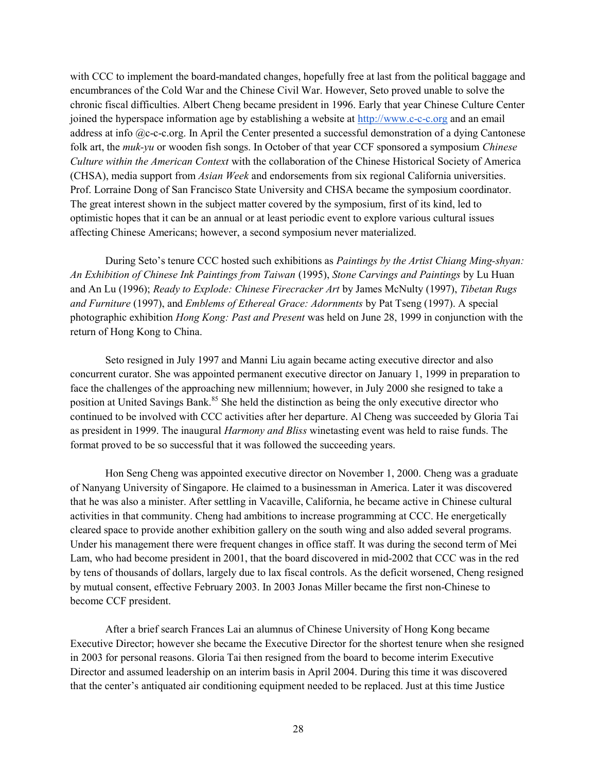with CCC to implement the board-mandated changes, hopefully free at last from the political baggage and encumbrances of the Cold War and the Chinese Civil War. However, Seto proved unable to solve the chronic fiscal difficulties. Albert Cheng became president in 1996. Early that year Chinese Culture Center joined the hyperspace information age by establishing a website at http://www.c-c-c.org and an email address at info @c-c-c.org. In April the Center presented a successful demonstration of a dying Cantonese folk art, the *muk-yu* or wooden fish songs. In October of that year CCF sponsored a symposium *Chinese* Culture within the American Context with the collaboration of the Chinese Historical Society of America (CHSA), media support from Asian Week and endorsements from six regional California universities. Prof. Lorraine Dong of San Francisco State University and CHSA became the symposium coordinator. The great interest shown in the subject matter covered by the symposium, first of its kind, led to optimistic hopes that it can be an annual or at least periodic event to explore various cultural issues affecting Chinese Americans; however, a second symposium never materialized.

During Seto's tenure CCC hosted such exhibitions as *Paintings by the Artist Chiang Ming-shyan*: An Exhibition of Chinese Ink Paintings from Taiwan (1995), Stone Carvings and Paintings by Lu Huan and An Lu (1996); Ready to Explode: Chinese Firecracker Art by James McNulty (1997), Tibetan Rugs and Furniture (1997), and Emblems of Ethereal Grace: Adornments by Pat Tseng (1997). A special photographic exhibition Hong Kong: Past and Present was held on June 28, 1999 in conjunction with the return of Hong Kong to China.

Seto resigned in July 1997 and Manni Liu again became acting executive director and also concurrent curator. She was appointed permanent executive director on January 1, 1999 in preparation to face the challenges of the approaching new millennium; however, in July 2000 she resigned to take a position at United Savings Bank.<sup>85</sup> She held the distinction as being the only executive director who continued to be involved with CCC activities after her departure. Al Cheng was succeeded by Gloria Tai as president in 1999. The inaugural Harmony and Bliss winetasting event was held to raise funds. The format proved to be so successful that it was followed the succeeding years.

Hon Seng Cheng was appointed executive director on November 1, 2000. Cheng was a graduate of Nanyang University of Singapore. He claimed to a businessman in America. Later it was discovered that he was also a minister. After settling in Vacaville, California, he became active in Chinese cultural activities in that community. Cheng had ambitions to increase programming at CCC. He energetically cleared space to provide another exhibition gallery on the south wing and also added several programs. Under his management there were frequent changes in office staff. It was during the second term of Mei Lam, who had become president in 2001, that the board discovered in mid-2002 that CCC was in the red by tens of thousands of dollars, largely due to lax fiscal controls. As the deficit worsened, Cheng resigned by mutual consent, effective February 2003. In 2003 Jonas Miller became the first non-Chinese to become CCF president.

After a brief search Frances Lai an alumnus of Chinese University of Hong Kong became Executive Director; however she became the Executive Director for the shortest tenure when she resigned in 2003 for personal reasons. Gloria Tai then resigned from the board to become interim Executive Director and assumed leadership on an interim basis in April 2004. During this time it was discovered that the center's antiquated air conditioning equipment needed to be replaced. Just at this time Justice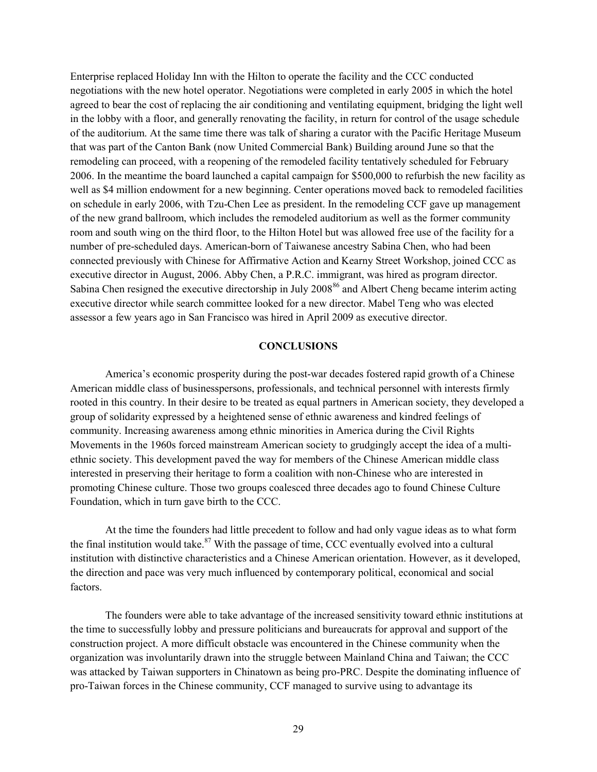Enterprise replaced Holiday Inn with the Hilton to operate the facility and the CCC conducted negotiations with the new hotel operator. Negotiations were completed in early 2005 in which the hotel agreed to bear the cost of replacing the air conditioning and ventilating equipment, bridging the light well in the lobby with a floor, and generally renovating the facility, in return for control of the usage schedule of the auditorium. At the same time there was talk of sharing a curator with the Pacific Heritage Museum that was part of the Canton Bank (now United Commercial Bank) Building around June so that the remodeling can proceed, with a reopening of the remodeled facility tentatively scheduled for February 2006. In the meantime the board launched a capital campaign for \$500,000 to refurbish the new facility as well as \$4 million endowment for a new beginning. Center operations moved back to remodeled facilities on schedule in early 2006, with Tzu-Chen Lee as president. In the remodeling CCF gave up management of the new grand ballroom, which includes the remodeled auditorium as well as the former community room and south wing on the third floor, to the Hilton Hotel but was allowed free use of the facility for a number of pre-scheduled days. American-born of Taiwanese ancestry Sabina Chen, who had been connected previously with Chinese for Affirmative Action and Kearny Street Workshop, joined CCC as executive director in August, 2006. Abby Chen, a P.R.C. immigrant, was hired as program director. Sabina Chen resigned the executive directorship in July 2008<sup>86</sup> and Albert Cheng became interim acting executive director while search committee looked for a new director. Mabel Teng who was elected assessor a few years ago in San Francisco was hired in April 2009 as executive director.

# **CONCLUSIONS**

 America's economic prosperity during the post-war decades fostered rapid growth of a Chinese American middle class of businesspersons, professionals, and technical personnel with interests firmly rooted in this country. In their desire to be treated as equal partners in American society, they developed a group of solidarity expressed by a heightened sense of ethnic awareness and kindred feelings of community. Increasing awareness among ethnic minorities in America during the Civil Rights Movements in the 1960s forced mainstream American society to grudgingly accept the idea of a multiethnic society. This development paved the way for members of the Chinese American middle class interested in preserving their heritage to form a coalition with non-Chinese who are interested in promoting Chinese culture. Those two groups coalesced three decades ago to found Chinese Culture Foundation, which in turn gave birth to the CCC.

At the time the founders had little precedent to follow and had only vague ideas as to what form the final institution would take.<sup>87</sup> With the passage of time, CCC eventually evolved into a cultural institution with distinctive characteristics and a Chinese American orientation. However, as it developed, the direction and pace was very much influenced by contemporary political, economical and social factors.

The founders were able to take advantage of the increased sensitivity toward ethnic institutions at the time to successfully lobby and pressure politicians and bureaucrats for approval and support of the construction project. A more difficult obstacle was encountered in the Chinese community when the organization was involuntarily drawn into the struggle between Mainland China and Taiwan; the CCC was attacked by Taiwan supporters in Chinatown as being pro-PRC. Despite the dominating influence of pro-Taiwan forces in the Chinese community, CCF managed to survive using to advantage its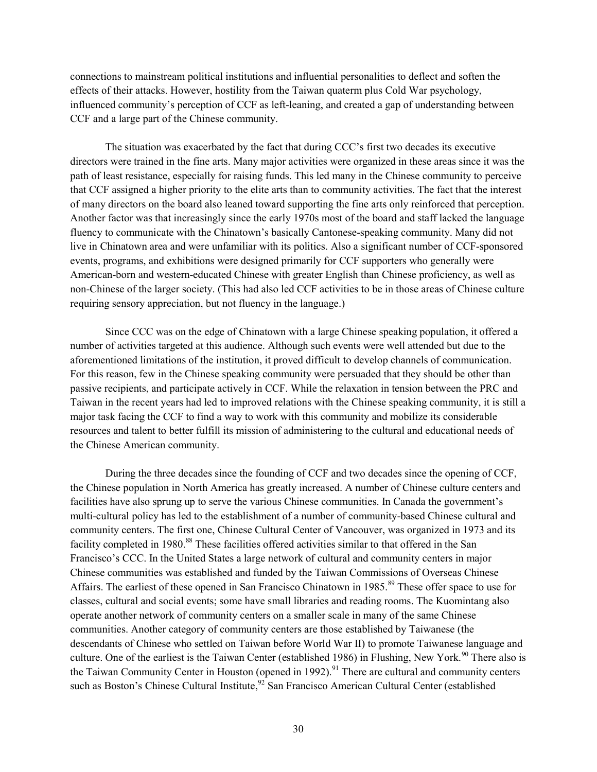connections to mainstream political institutions and influential personalities to deflect and soften the effects of their attacks. However, hostility from the Taiwan quaterm plus Cold War psychology, influenced community's perception of CCF as left-leaning, and created a gap of understanding between CCF and a large part of the Chinese community.

The situation was exacerbated by the fact that during CCC's first two decades its executive directors were trained in the fine arts. Many major activities were organized in these areas since it was the path of least resistance, especially for raising funds. This led many in the Chinese community to perceive that CCF assigned a higher priority to the elite arts than to community activities. The fact that the interest of many directors on the board also leaned toward supporting the fine arts only reinforced that perception. Another factor was that increasingly since the early 1970s most of the board and staff lacked the language fluency to communicate with the Chinatown's basically Cantonese-speaking community. Many did not live in Chinatown area and were unfamiliar with its politics. Also a significant number of CCF-sponsored events, programs, and exhibitions were designed primarily for CCF supporters who generally were American-born and western-educated Chinese with greater English than Chinese proficiency, as well as non-Chinese of the larger society. (This had also led CCF activities to be in those areas of Chinese culture requiring sensory appreciation, but not fluency in the language.)

Since CCC was on the edge of Chinatown with a large Chinese speaking population, it offered a number of activities targeted at this audience. Although such events were well attended but due to the aforementioned limitations of the institution, it proved difficult to develop channels of communication. For this reason, few in the Chinese speaking community were persuaded that they should be other than passive recipients, and participate actively in CCF. While the relaxation in tension between the PRC and Taiwan in the recent years had led to improved relations with the Chinese speaking community, it is still a major task facing the CCF to find a way to work with this community and mobilize its considerable resources and talent to better fulfill its mission of administering to the cultural and educational needs of the Chinese American community.

During the three decades since the founding of CCF and two decades since the opening of CCF, the Chinese population in North America has greatly increased. A number of Chinese culture centers and facilities have also sprung up to serve the various Chinese communities. In Canada the government's multi-cultural policy has led to the establishment of a number of community-based Chinese cultural and community centers. The first one, Chinese Cultural Center of Vancouver, was organized in 1973 and its facility completed in 1980.<sup>88</sup> These facilities offered activities similar to that offered in the San Francisco's CCC. In the United States a large network of cultural and community centers in major Chinese communities was established and funded by the Taiwan Commissions of Overseas Chinese Affairs. The earliest of these opened in San Francisco Chinatown in 1985.<sup>89</sup> These offer space to use for classes, cultural and social events; some have small libraries and reading rooms. The Kuomintang also operate another network of community centers on a smaller scale in many of the same Chinese communities. Another category of community centers are those established by Taiwanese (the descendants of Chinese who settled on Taiwan before World War II) to promote Taiwanese language and culture. One of the earliest is the Taiwan Center (established 1986) in Flushing, New York.<sup>90</sup> There also is the Taiwan Community Center in Houston (opened in 1992).<sup>91</sup> There are cultural and community centers such as Boston's Chinese Cultural Institute,<sup>92</sup> San Francisco American Cultural Center (established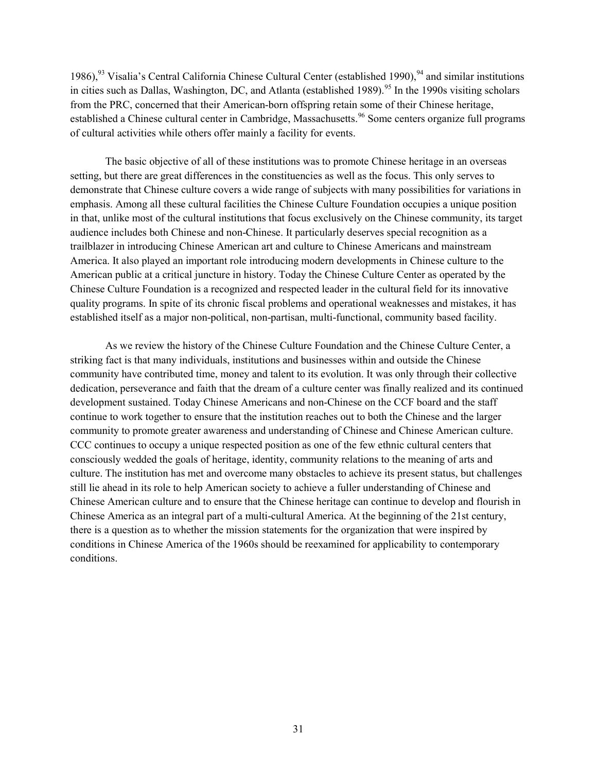1986), <sup>93</sup> Visalia's Central California Chinese Cultural Center (established 1990), <sup>94</sup> and similar institutions in cities such as Dallas, Washington, DC, and Atlanta (established 1989).<sup>95</sup> In the 1990s visiting scholars from the PRC, concerned that their American-born offspring retain some of their Chinese heritage, established a Chinese cultural center in Cambridge, Massachusetts.<sup>96</sup> Some centers organize full programs of cultural activities while others offer mainly a facility for events.

The basic objective of all of these institutions was to promote Chinese heritage in an overseas setting, but there are great differences in the constituencies as well as the focus. This only serves to demonstrate that Chinese culture covers a wide range of subjects with many possibilities for variations in emphasis. Among all these cultural facilities the Chinese Culture Foundation occupies a unique position in that, unlike most of the cultural institutions that focus exclusively on the Chinese community, its target audience includes both Chinese and non-Chinese. It particularly deserves special recognition as a trailblazer in introducing Chinese American art and culture to Chinese Americans and mainstream America. It also played an important role introducing modern developments in Chinese culture to the American public at a critical juncture in history. Today the Chinese Culture Center as operated by the Chinese Culture Foundation is a recognized and respected leader in the cultural field for its innovative quality programs. In spite of its chronic fiscal problems and operational weaknesses and mistakes, it has established itself as a major non-political, non-partisan, multi-functional, community based facility.

As we review the history of the Chinese Culture Foundation and the Chinese Culture Center, a striking fact is that many individuals, institutions and businesses within and outside the Chinese community have contributed time, money and talent to its evolution. It was only through their collective dedication, perseverance and faith that the dream of a culture center was finally realized and its continued development sustained. Today Chinese Americans and non-Chinese on the CCF board and the staff continue to work together to ensure that the institution reaches out to both the Chinese and the larger community to promote greater awareness and understanding of Chinese and Chinese American culture. CCC continues to occupy a unique respected position as one of the few ethnic cultural centers that consciously wedded the goals of heritage, identity, community relations to the meaning of arts and culture. The institution has met and overcome many obstacles to achieve its present status, but challenges still lie ahead in its role to help American society to achieve a fuller understanding of Chinese and Chinese American culture and to ensure that the Chinese heritage can continue to develop and flourish in Chinese America as an integral part of a multi-cultural America. At the beginning of the 21st century, there is a question as to whether the mission statements for the organization that were inspired by conditions in Chinese America of the 1960s should be reexamined for applicability to contemporary conditions.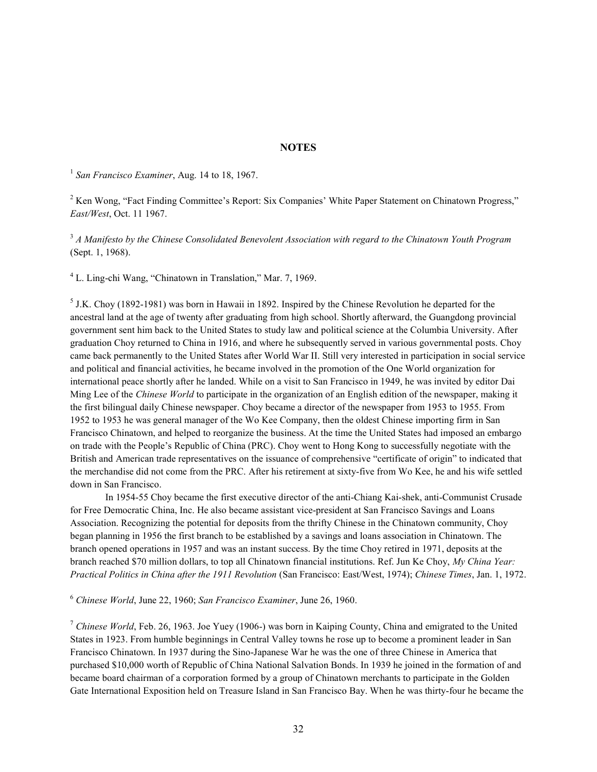#### NOTES

 $1$  San Francisco Examiner, Aug. 14 to 18, 1967.

<sup>2</sup> Ken Wong, "Fact Finding Committee's Report: Six Companies' White Paper Statement on Chinatown Progress," East/West, Oct. 11 1967.

 $3A$  Manifesto by the Chinese Consolidated Benevolent Association with regard to the Chinatown Youth Program (Sept. 1, 1968).

<sup>4</sup> L. Ling-chi Wang, "Chinatown in Translation," Mar. 7, 1969.

 $<sup>5</sup>$  J.K. Choy (1892-1981) was born in Hawaii in 1892. Inspired by the Chinese Revolution he departed for the</sup> ancestral land at the age of twenty after graduating from high school. Shortly afterward, the Guangdong provincial government sent him back to the United States to study law and political science at the Columbia University. After graduation Choy returned to China in 1916, and where he subsequently served in various governmental posts. Choy came back permanently to the United States after World War II. Still very interested in participation in social service and political and financial activities, he became involved in the promotion of the One World organization for international peace shortly after he landed. While on a visit to San Francisco in 1949, he was invited by editor Dai Ming Lee of the Chinese World to participate in the organization of an English edition of the newspaper, making it the first bilingual daily Chinese newspaper. Choy became a director of the newspaper from 1953 to 1955. From 1952 to 1953 he was general manager of the Wo Kee Company, then the oldest Chinese importing firm in San Francisco Chinatown, and helped to reorganize the business. At the time the United States had imposed an embargo on trade with the People's Republic of China (PRC). Choy went to Hong Kong to successfully negotiate with the British and American trade representatives on the issuance of comprehensive "certificate of origin" to indicated that the merchandise did not come from the PRC. After his retirement at sixty-five from Wo Kee, he and his wife settled down in San Francisco.

 In 1954-55 Choy became the first executive director of the anti-Chiang Kai-shek, anti-Communist Crusade for Free Democratic China, Inc. He also became assistant vice-president at San Francisco Savings and Loans Association. Recognizing the potential for deposits from the thrifty Chinese in the Chinatown community, Choy began planning in 1956 the first branch to be established by a savings and loans association in Chinatown. The branch opened operations in 1957 and was an instant success. By the time Choy retired in 1971, deposits at the branch reached \$70 million dollars, to top all Chinatown financial institutions. Ref. Jun Ke Choy, My China Year: Practical Politics in China after the 1911 Revolution (San Francisco: East/West, 1974); Chinese Times, Jan. 1, 1972.

 $6$  Chinese World, June 22, 1960; San Francisco Examiner, June 26, 1960.

 $7$  Chinese World, Feb. 26, 1963. Joe Yuey (1906-) was born in Kaiping County, China and emigrated to the United States in 1923. From humble beginnings in Central Valley towns he rose up to become a prominent leader in San Francisco Chinatown. In 1937 during the Sino-Japanese War he was the one of three Chinese in America that purchased \$10,000 worth of Republic of China National Salvation Bonds. In 1939 he joined in the formation of and became board chairman of a corporation formed by a group of Chinatown merchants to participate in the Golden Gate International Exposition held on Treasure Island in San Francisco Bay. When he was thirty-four he became the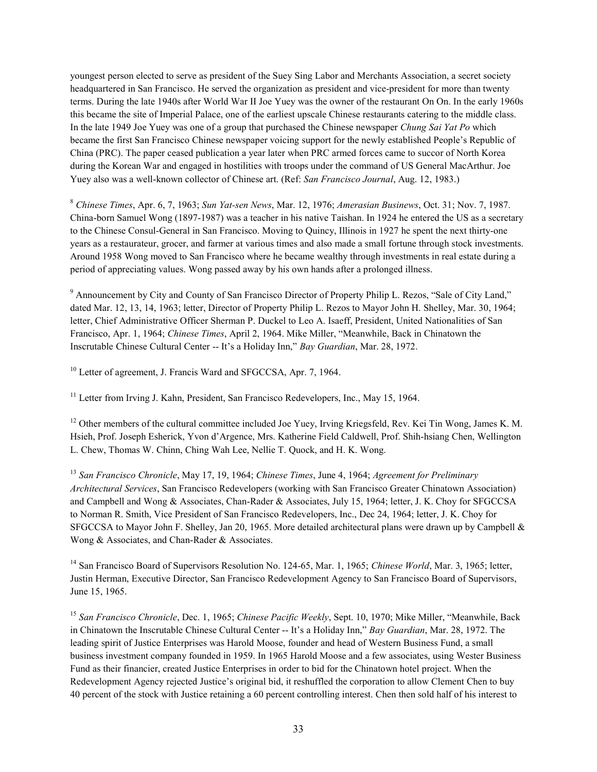youngest person elected to serve as president of the Suey Sing Labor and Merchants Association, a secret society headquartered in San Francisco. He served the organization as president and vice-president for more than twenty terms. During the late 1940s after World War II Joe Yuey was the owner of the restaurant On On. In the early 1960s this became the site of Imperial Palace, one of the earliest upscale Chinese restaurants catering to the middle class. In the late 1949 Joe Yuey was one of a group that purchased the Chinese newspaper Chung Sai Yat Po which became the first San Francisco Chinese newspaper voicing support for the newly established People's Republic of China (PRC). The paper ceased publication a year later when PRC armed forces came to succor of North Korea during the Korean War and engaged in hostilities with troops under the command of US General MacArthur. Joe Yuey also was a well-known collector of Chinese art. (Ref: San Francisco Journal, Aug. 12, 1983.)

<sup>8</sup> Chinese Times, Apr. 6, 7, 1963; Sun Yat-sen News, Mar. 12, 1976; Amerasian Businews, Oct. 31; Nov. 7, 1987. China-born Samuel Wong (1897-1987) was a teacher in his native Taishan. In 1924 he entered the US as a secretary to the Chinese Consul-General in San Francisco. Moving to Quincy, Illinois in 1927 he spent the next thirty-one years as a restaurateur, grocer, and farmer at various times and also made a small fortune through stock investments. Around 1958 Wong moved to San Francisco where he became wealthy through investments in real estate during a period of appreciating values. Wong passed away by his own hands after a prolonged illness.

<sup>9</sup> Announcement by City and County of San Francisco Director of Property Philip L. Rezos, "Sale of City Land," dated Mar. 12, 13, 14, 1963; letter, Director of Property Philip L. Rezos to Mayor John H. Shelley, Mar. 30, 1964; letter, Chief Administrative Officer Sherman P. Duckel to Leo A. Isaeff, President, United Nationalities of San Francisco, Apr. 1, 1964; Chinese Times, April 2, 1964. Mike Miller, "Meanwhile, Back in Chinatown the Inscrutable Chinese Cultural Center -- It's a Holiday Inn," Bay Guardian, Mar. 28, 1972.

<sup>10</sup> Letter of agreement, J. Francis Ward and SFGCCSA, Apr. 7, 1964.

<sup>11</sup> Letter from Irving J. Kahn, President, San Francisco Redevelopers, Inc., May 15, 1964.

<sup>12</sup> Other members of the cultural committee included Joe Yuey, Irving Kriegsfeld, Rev. Kei Tin Wong, James K. M. Hsieh, Prof. Joseph Esherick, Yvon d'Argence, Mrs. Katherine Field Caldwell, Prof. Shih-hsiang Chen, Wellington L. Chew, Thomas W. Chinn, Ching Wah Lee, Nellie T. Quock, and H. K. Wong.

 $13$  San Francisco Chronicle, May 17, 19, 1964; Chinese Times, June 4, 1964; Agreement for Preliminary Architectural Services, San Francisco Redevelopers (working with San Francisco Greater Chinatown Association) and Campbell and Wong & Associates, Chan-Rader & Associates, July 15, 1964; letter, J. K. Choy for SFGCCSA to Norman R. Smith, Vice President of San Francisco Redevelopers, Inc., Dec 24, 1964; letter, J. K. Choy for SFGCCSA to Mayor John F. Shelley, Jan 20, 1965. More detailed architectural plans were drawn up by Campbell & Wong & Associates, and Chan-Rader & Associates.

<sup>14</sup> San Francisco Board of Supervisors Resolution No. 124-65, Mar. 1, 1965; Chinese World, Mar. 3, 1965; letter, Justin Herman, Executive Director, San Francisco Redevelopment Agency to San Francisco Board of Supervisors, June 15, 1965.

<sup>15</sup> San Francisco Chronicle, Dec. 1, 1965; Chinese Pacific Weekly, Sept. 10, 1970; Mike Miller, "Meanwhile, Back in Chinatown the Inscrutable Chinese Cultural Center -- It's a Holiday Inn," Bay Guardian, Mar. 28, 1972. The leading spirit of Justice Enterprises was Harold Moose, founder and head of Western Business Fund, a small business investment company founded in 1959. In 1965 Harold Moose and a few associates, using Wester Business Fund as their financier, created Justice Enterprises in order to bid for the Chinatown hotel project. When the Redevelopment Agency rejected Justice's original bid, it reshuffled the corporation to allow Clement Chen to buy 40 percent of the stock with Justice retaining a 60 percent controlling interest. Chen then sold half of his interest to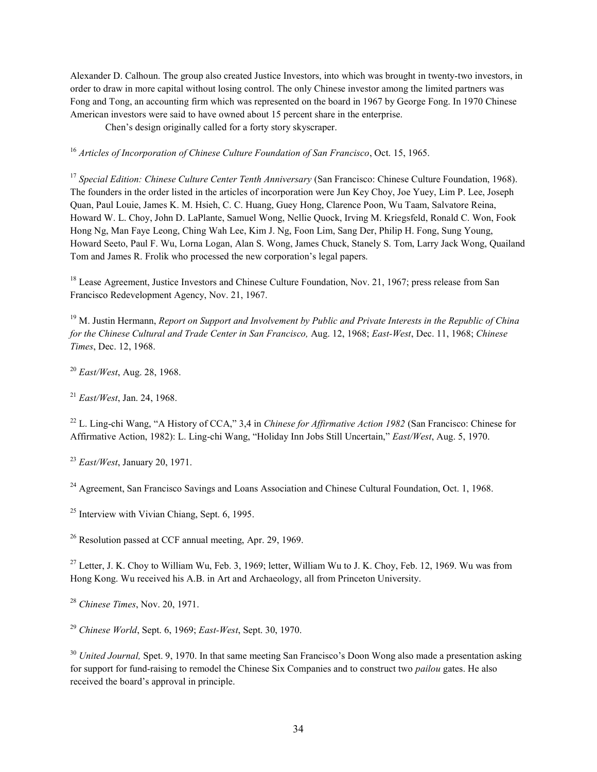Alexander D. Calhoun. The group also created Justice Investors, into which was brought in twenty-two investors, in order to draw in more capital without losing control. The only Chinese investor among the limited partners was Fong and Tong, an accounting firm which was represented on the board in 1967 by George Fong. In 1970 Chinese American investors were said to have owned about 15 percent share in the enterprise.

Chen's design originally called for a forty story skyscraper.

<sup>16</sup> Articles of Incorporation of Chinese Culture Foundation of San Francisco, Oct. 15, 1965.

<sup>17</sup> Special Edition: Chinese Culture Center Tenth Anniversary (San Francisco: Chinese Culture Foundation, 1968). The founders in the order listed in the articles of incorporation were Jun Key Choy, Joe Yuey, Lim P. Lee, Joseph Quan, Paul Louie, James K. M. Hsieh, C. C. Huang, Guey Hong, Clarence Poon, Wu Taam, Salvatore Reina, Howard W. L. Choy, John D. LaPlante, Samuel Wong, Nellie Quock, Irving M. Kriegsfeld, Ronald C. Won, Fook Hong Ng, Man Faye Leong, Ching Wah Lee, Kim J. Ng, Foon Lim, Sang Der, Philip H. Fong, Sung Young, Howard Seeto, Paul F. Wu, Lorna Logan, Alan S. Wong, James Chuck, Stanely S. Tom, Larry Jack Wong, Quailand Tom and James R. Frolik who processed the new corporation's legal papers.

<sup>18</sup> Lease Agreement, Justice Investors and Chinese Culture Foundation, Nov. 21, 1967; press release from San Francisco Redevelopment Agency, Nov. 21, 1967.

 $19$  M. Justin Hermann, *Report on Support and Involvement by Public and Private Interests in the Republic of China* for the Chinese Cultural and Trade Center in San Francisco, Aug. 12, 1968; East-West, Dec. 11, 1968; Chinese Times, Dec. 12, 1968.

 $^{20}$  East/West, Aug. 28, 1968.

 $^{21}$  East/West, Jan. 24, 1968.

<sup>22</sup> L. Ling-chi Wang, "A History of CCA," 3,4 in *Chinese for Affirmative Action 1982* (San Francisco: Chinese for Affirmative Action, 1982): L. Ling-chi Wang, "Holiday Inn Jobs Still Uncertain," East/West, Aug. 5, 1970.

 $23$  East/West, January 20, 1971.

 $^{24}$  Agreement, San Francisco Savings and Loans Association and Chinese Cultural Foundation, Oct. 1, 1968.

<sup>25</sup> Interview with Vivian Chiang, Sept. 6, 1995.

<sup>26</sup> Resolution passed at CCF annual meeting, Apr. 29, 1969.

 $27$  Letter, J. K. Choy to William Wu, Feb. 3, 1969; letter, William Wu to J. K. Choy, Feb. 12, 1969. Wu was from Hong Kong. Wu received his A.B. in Art and Archaeology, all from Princeton University.

 $28$  Chinese Times, Nov. 20, 1971.

 $^{29}$  Chinese World, Sept. 6, 1969; East-West, Sept. 30, 1970.

 $30$  United Journal, Spet. 9, 1970. In that same meeting San Francisco's Doon Wong also made a presentation asking for support for fund-raising to remodel the Chinese Six Companies and to construct two pailou gates. He also received the board's approval in principle.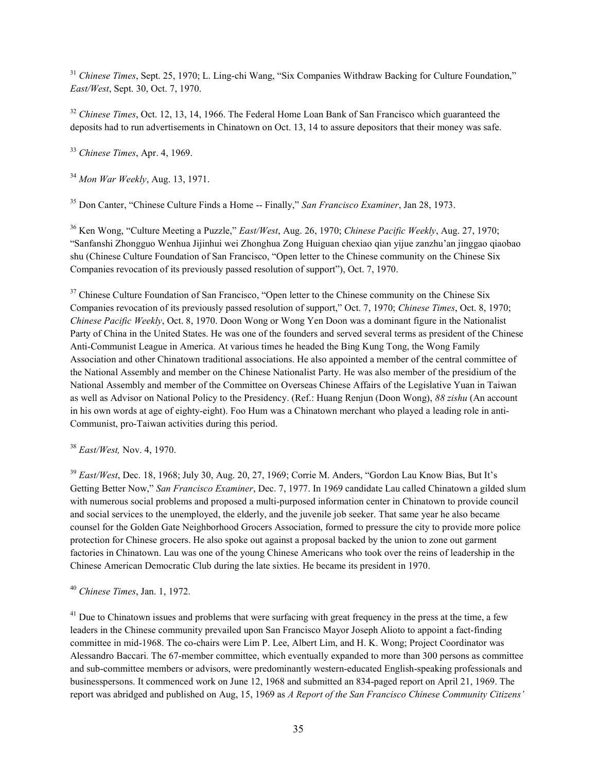<sup>31</sup> Chinese Times, Sept. 25, 1970; L. Ling-chi Wang, "Six Companies Withdraw Backing for Culture Foundation," East/West, Sept. 30, Oct. 7, 1970.

 $32$  Chinese Times, Oct. 12, 13, 14, 1966. The Federal Home Loan Bank of San Francisco which guaranteed the deposits had to run advertisements in Chinatown on Oct. 13, 14 to assure depositors that their money was safe.

 $33$  Chinese Times, Apr. 4, 1969.

 $34$  Mon War Weekly, Aug. 13, 1971.

<sup>35</sup> Don Canter, "Chinese Culture Finds a Home -- Finally," San Francisco Examiner, Jan 28, 1973.

<sup>36</sup> Ken Wong, "Culture Meeting a Puzzle," East/West, Aug. 26, 1970; Chinese Pacific Weekly, Aug. 27, 1970; "Sanfanshi Zhongguo Wenhua Jijinhui wei Zhonghua Zong Huiguan chexiao qian yijue zanzhu'an jinggao qiaobao shu (Chinese Culture Foundation of San Francisco, "Open letter to the Chinese community on the Chinese Six Companies revocation of its previously passed resolution of support"), Oct. 7, 1970.

<sup>37</sup> Chinese Culture Foundation of San Francisco, "Open letter to the Chinese community on the Chinese Six Companies revocation of its previously passed resolution of support," Oct. 7, 1970; Chinese Times, Oct. 8, 1970; Chinese Pacific Weekly, Oct. 8, 1970. Doon Wong or Wong Yen Doon was a dominant figure in the Nationalist Party of China in the United States. He was one of the founders and served several terms as president of the Chinese Anti-Communist League in America. At various times he headed the Bing Kung Tong, the Wong Family Association and other Chinatown traditional associations. He also appointed a member of the central committee of the National Assembly and member on the Chinese Nationalist Party. He was also member of the presidium of the National Assembly and member of the Committee on Overseas Chinese Affairs of the Legislative Yuan in Taiwan as well as Advisor on National Policy to the Presidency. (Ref.: Huang Renjun (Doon Wong), 88 zishu (An account in his own words at age of eighty-eight). Foo Hum was a Chinatown merchant who played a leading role in anti-Communist, pro-Taiwan activities during this period.

 $38$  East/West, Nov. 4, 1970.

<sup>39</sup> East/West, Dec. 18, 1968; July 30, Aug. 20, 27, 1969; Corrie M. Anders, "Gordon Lau Know Bias, But It's Getting Better Now," San Francisco Examiner, Dec. 7, 1977. In 1969 candidate Lau called Chinatown a gilded slum with numerous social problems and proposed a multi-purposed information center in Chinatown to provide council and social services to the unemployed, the elderly, and the juvenile job seeker. That same year he also became counsel for the Golden Gate Neighborhood Grocers Association, formed to pressure the city to provide more police protection for Chinese grocers. He also spoke out against a proposal backed by the union to zone out garment factories in Chinatown. Lau was one of the young Chinese Americans who took over the reins of leadership in the Chinese American Democratic Club during the late sixties. He became its president in 1970.

<sup>40</sup> Chinese Times, Jan. 1, 1972.

 $41$  Due to Chinatown issues and problems that were surfacing with great frequency in the press at the time, a few leaders in the Chinese community prevailed upon San Francisco Mayor Joseph Alioto to appoint a fact-finding committee in mid-1968. The co-chairs were Lim P. Lee, Albert Lim, and H. K. Wong; Project Coordinator was Alessandro Baccari. The 67-member committee, which eventually expanded to more than 300 persons as committee and sub-committee members or advisors, were predominantly western-educated English-speaking professionals and businesspersons. It commenced work on June 12, 1968 and submitted an 834-paged report on April 21, 1969. The report was abridged and published on Aug, 15, 1969 as A Report of the San Francisco Chinese Community Citizens'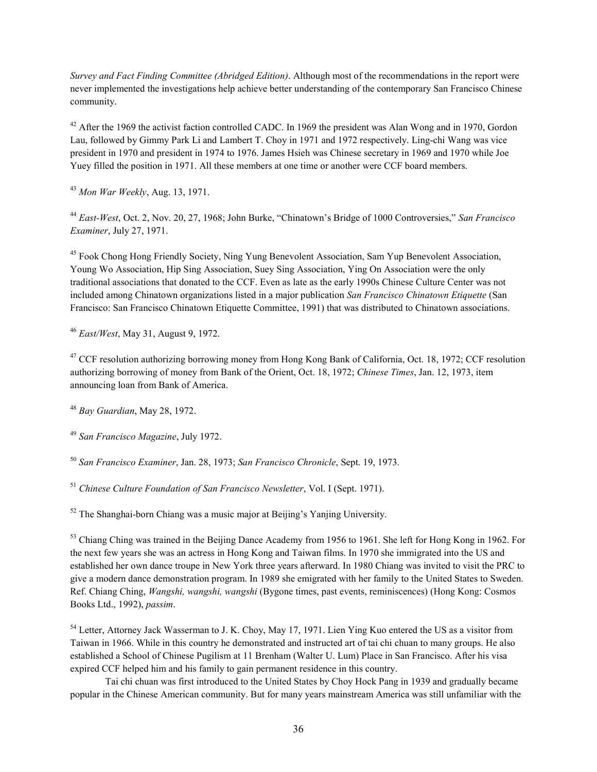Survey and Fact Finding Committee (Abridged Edition). Although most of the recommendations in the report were never implemented the investigations help achieve better understanding of the contemporary San Francisco Chinese community.

 $42$  After the 1969 the activist faction controlled CADC. In 1969 the president was Alan Wong and in 1970, Gordon Lau, followed by Gimmy Park Li and Lambert T. Choy in 1971 and 1972 respectively. Ling-chi Wang was vice president in 1970 and president in 1974 to 1976. James Hsieh was Chinese secretary in 1969 and 1970 while Joe Yuey filled the position in 1971. All these members at one time or another were CCF board members.

 $43$  Mon War Weekly, Aug. 13, 1971.

<sup>44</sup> East-West, Oct. 2, Nov. 20, 27, 1968; John Burke, "Chinatown's Bridge of 1000 Controversies," San Francisco Examiner, July 27, 1971.

<sup>45</sup> Fook Chong Hong Friendly Society, Ning Yung Benevolent Association, Sam Yup Benevolent Association, Young Wo Association, Hip Sing Association, Suey Sing Association, Ying On Association were the only traditional associations that donated to the CCF. Even as late as the early 1990s Chinese Culture Center was not included among Chinatown organizations listed in a major publication San Francisco Chinatown Etiquette (San Francisco: San Francisco Chinatown Etiquette Committee, 1991) that was distributed to Chinatown associations.

 $46$  East/West, May 31, August 9, 1972.

<sup>47</sup> CCF resolution authorizing borrowing money from Hong Kong Bank of California, Oct. 18, 1972; CCF resolution authorizing borrowing of money from Bank of the Orient, Oct. 18, 1972; Chinese Times, Jan. 12, 1973, item announcing loan from Bank of America.

 $48$  Bay Guardian, May 28, 1972.

<sup>49</sup> San Francisco Magazine, July 1972.

<sup>50</sup> San Francisco Examiner, Jan. 28, 1973; San Francisco Chronicle, Sept. 19, 1973.

<sup>51</sup> Chinese Culture Foundation of San Francisco Newsletter, Vol. I (Sept. 1971).

 $52$  The Shanghai-born Chiang was a music major at Beijing's Yanjing University.

<sup>53</sup> Chiang Ching was trained in the Beijing Dance Academy from 1956 to 1961. She left for Hong Kong in 1962. For the next few years she was an actress in Hong Kong and Taiwan films. In 1970 she immigrated into the US and established her own dance troupe in New York three years afterward. In 1980 Chiang was invited to visit the PRC to give a modern dance demonstration program. In 1989 she emigrated with her family to the United States to Sweden. Ref. Chiang Ching, Wangshi, wangshi, wangshi (Bygone times, past events, reminiscences) (Hong Kong: Cosmos Books Ltd., 1992), passim.

<sup>54</sup> Letter, Attorney Jack Wasserman to J. K. Choy, May 17, 1971. Lien Ying Kuo entered the US as a visitor from Taiwan in 1966. While in this country he demonstrated and instructed art of tai chi chuan to many groups. He also established a School of Chinese Pugilism at 11 Brenham (Walter U. Lum) Place in San Francisco. After his visa expired CCF helped him and his family to gain permanent residence in this country.

Tai chi chuan was first introduced to the United States by Choy Hock Pang in 1939 and gradually became popular in the Chinese American community. But for many years mainstream America was still unfamiliar with the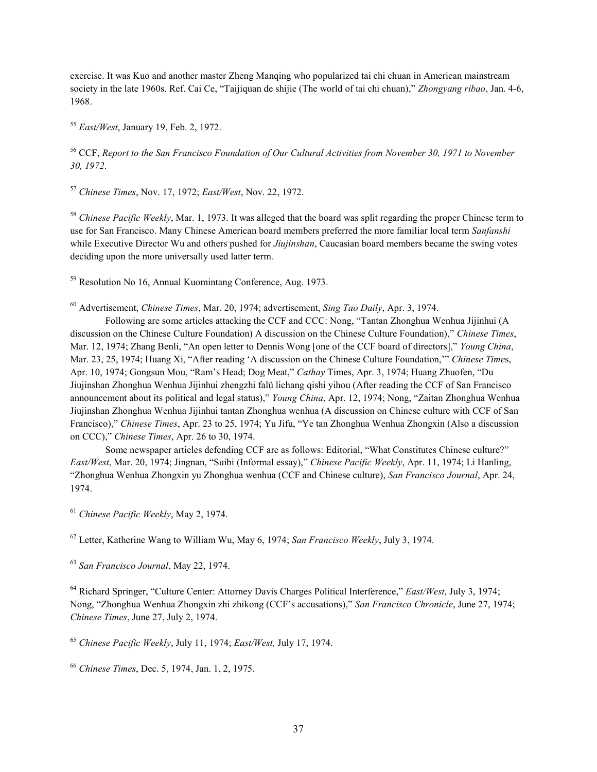exercise. It was Kuo and another master Zheng Manqing who popularized tai chi chuan in American mainstream society in the late 1960s. Ref. Cai Ce, "Taijiquan de shijie (The world of tai chi chuan)," Zhongyang ribao, Jan. 4-6, 1968.

<sup>55</sup> East/West, January 19, Feb. 2, 1972.

<sup>56</sup> CCF, Report to the San Francisco Foundation of Our Cultural Activities from November 30, 1971 to November 30, 1972.

 $57$  Chinese Times, Nov. 17, 1972; East/West, Nov. 22, 1972.

<sup>58</sup> Chinese Pacific Weekly, Mar. 1, 1973. It was alleged that the board was split regarding the proper Chinese term to use for San Francisco. Many Chinese American board members preferred the more familiar local term Sanfanshi while Executive Director Wu and others pushed for *Jiujinshan*, Caucasian board members became the swing votes deciding upon the more universally used latter term.

<sup>59</sup> Resolution No 16, Annual Kuomintang Conference, Aug. 1973.

 $60$  Advertisement, *Chinese Times*, Mar. 20, 1974; advertisement, *Sing Tao Daily*, Apr. 3, 1974.

 Following are some articles attacking the CCF and CCC: Nong, "Tantan Zhonghua Wenhua Jijinhui (A discussion on the Chinese Culture Foundation) A discussion on the Chinese Culture Foundation)," Chinese Times, Mar. 12, 1974; Zhang Benli, "An open letter to Dennis Wong [one of the CCF board of directors]," Young China, Mar. 23, 25, 1974; Huang Xi, "After reading 'A discussion on the Chinese Culture Foundation,'" Chinese Times, Apr. 10, 1974; Gongsun Mou, "Ram's Head; Dog Meat," Cathay Times, Apr. 3, 1974; Huang Zhuofen, "Du Jiujinshan Zhonghua Wenhua Jijinhui zhengzhi falü lichang qishi yihou (After reading the CCF of San Francisco announcement about its political and legal status)," Young China, Apr. 12, 1974; Nong, "Zaitan Zhonghua Wenhua Jiujinshan Zhonghua Wenhua Jijinhui tantan Zhonghua wenhua (A discussion on Chinese culture with CCF of San Francisco)," Chinese Times, Apr. 23 to 25, 1974; Yu Jifu, "Ye tan Zhonghua Wenhua Zhongxin (Also a discussion on CCC)," Chinese Times, Apr. 26 to 30, 1974.

Some newspaper articles defending CCF are as follows: Editorial, "What Constitutes Chinese culture?" East/West, Mar. 20, 1974; Jingnan, "Suibi (Informal essay)," Chinese Pacific Weekly, Apr. 11, 1974; Li Hanling, "Zhonghua Wenhua Zhongxin yu Zhonghua wenhua (CCF and Chinese culture), San Francisco Journal, Apr. 24, 1974.

 $61$  Chinese Pacific Weekly, May 2, 1974.

 $62$  Letter, Katherine Wang to William Wu, May 6, 1974; San Francisco Weekly, July 3, 1974.

<sup>63</sup> San Francisco Journal, May 22, 1974.

<sup>64</sup> Richard Springer, "Culture Center: Attorney Davis Charges Political Interference," East/West, July 3, 1974; Nong, "Zhonghua Wenhua Zhongxin zhi zhikong (CCF's accusations)," San Francisco Chronicle, June 27, 1974; Chinese Times, June 27, July 2, 1974.

<sup>65</sup> Chinese Pacific Weekly, July 11, 1974; East/West, July 17, 1974.

<sup>66</sup> Chinese Times, Dec. 5, 1974, Jan. 1, 2, 1975.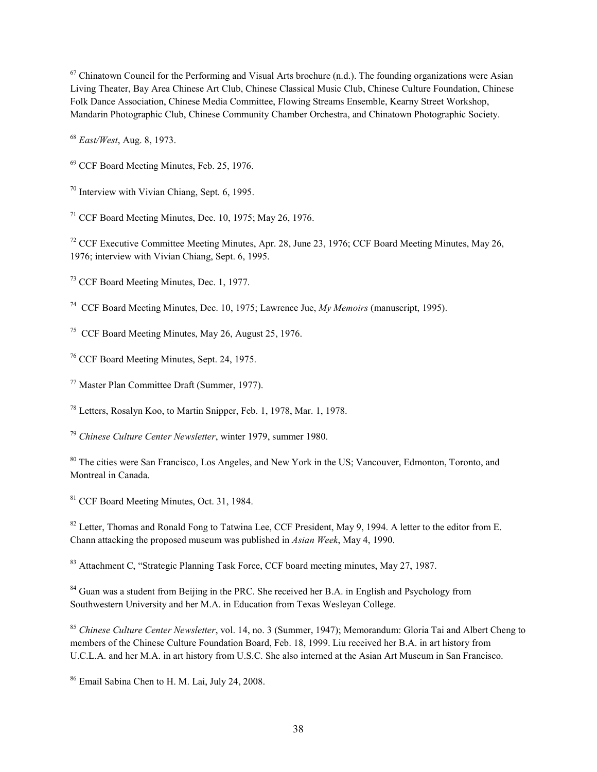$67$  Chinatown Council for the Performing and Visual Arts brochure (n.d.). The founding organizations were Asian Living Theater, Bay Area Chinese Art Club, Chinese Classical Music Club, Chinese Culture Foundation, Chinese Folk Dance Association, Chinese Media Committee, Flowing Streams Ensemble, Kearny Street Workshop, Mandarin Photographic Club, Chinese Community Chamber Orchestra, and Chinatown Photographic Society.

<sup>68</sup> East/West, Aug. 8, 1973.

<sup>69</sup> CCF Board Meeting Minutes, Feb. 25, 1976.

<sup>70</sup> Interview with Vivian Chiang, Sept. 6, 1995.

 $71$  CCF Board Meeting Minutes, Dec. 10, 1975; May 26, 1976.

<sup>72</sup> CCF Executive Committee Meeting Minutes, Apr. 28, June 23, 1976; CCF Board Meeting Minutes. May 26. 1976; interview with Vivian Chiang, Sept. 6, 1995.

<sup>73</sup> CCF Board Meeting Minutes, Dec. 1, 1977.

<sup>74</sup> CCF Board Meeting Minutes, Dec. 10, 1975; Lawrence Jue, *My Memoirs* (manuscript, 1995).

<sup>75</sup> CCF Board Meeting Minutes, May 26, August 25, 1976.

<sup>76</sup> CCF Board Meeting Minutes, Sept. 24, 1975.

<sup>77</sup> Master Plan Committee Draft (Summer, 1977).

<sup>78</sup> Letters, Rosalyn Koo, to Martin Snipper, Feb. 1, 1978, Mar. 1, 1978.

 $79$  Chinese Culture Center Newsletter, winter 1979, summer 1980.

<sup>80</sup> The cities were San Francisco, Los Angeles, and New York in the US; Vancouver, Edmonton, Toronto, and Montreal in Canada.

<sup>81</sup> CCF Board Meeting Minutes, Oct. 31, 1984.

<sup>82</sup> Letter, Thomas and Ronald Fong to Tatwina Lee, CCF President, May 9, 1994. A letter to the editor from E. Chann attacking the proposed museum was published in Asian Week, May 4, 1990.

<sup>83</sup> Attachment C, "Strategic Planning Task Force, CCF board meeting minutes, May 27, 1987.

<sup>84</sup> Guan was a student from Beijing in the PRC. She received her B.A. in English and Psychology from Southwestern University and her M.A. in Education from Texas Wesleyan College.

<sup>85</sup> Chinese Culture Center Newsletter, vol. 14, no. 3 (Summer, 1947); Memorandum: Gloria Tai and Albert Cheng to members of the Chinese Culture Foundation Board, Feb. 18, 1999. Liu received her B.A. in art history from U.C.L.A. and her M.A. in art history from U.S.C. She also interned at the Asian Art Museum in San Francisco.

<sup>86</sup> Email Sabina Chen to H. M. Lai, July 24, 2008.